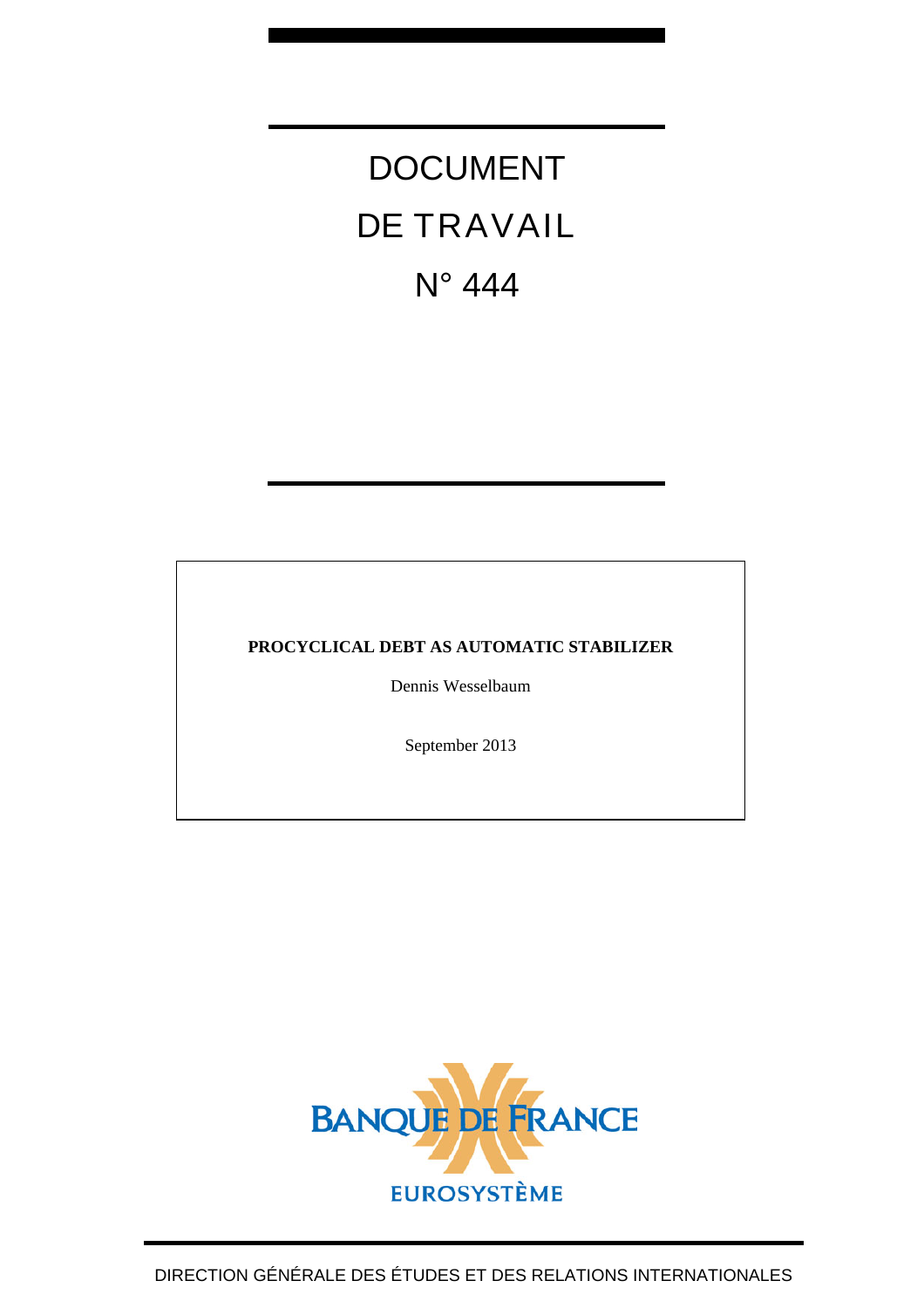# DOCUMENT DE TRAVAIL N° 444

# **PROCYCLICAL DEBT AS AUTOMATIC STABILIZER**

Dennis Wesselbaum

September 2013

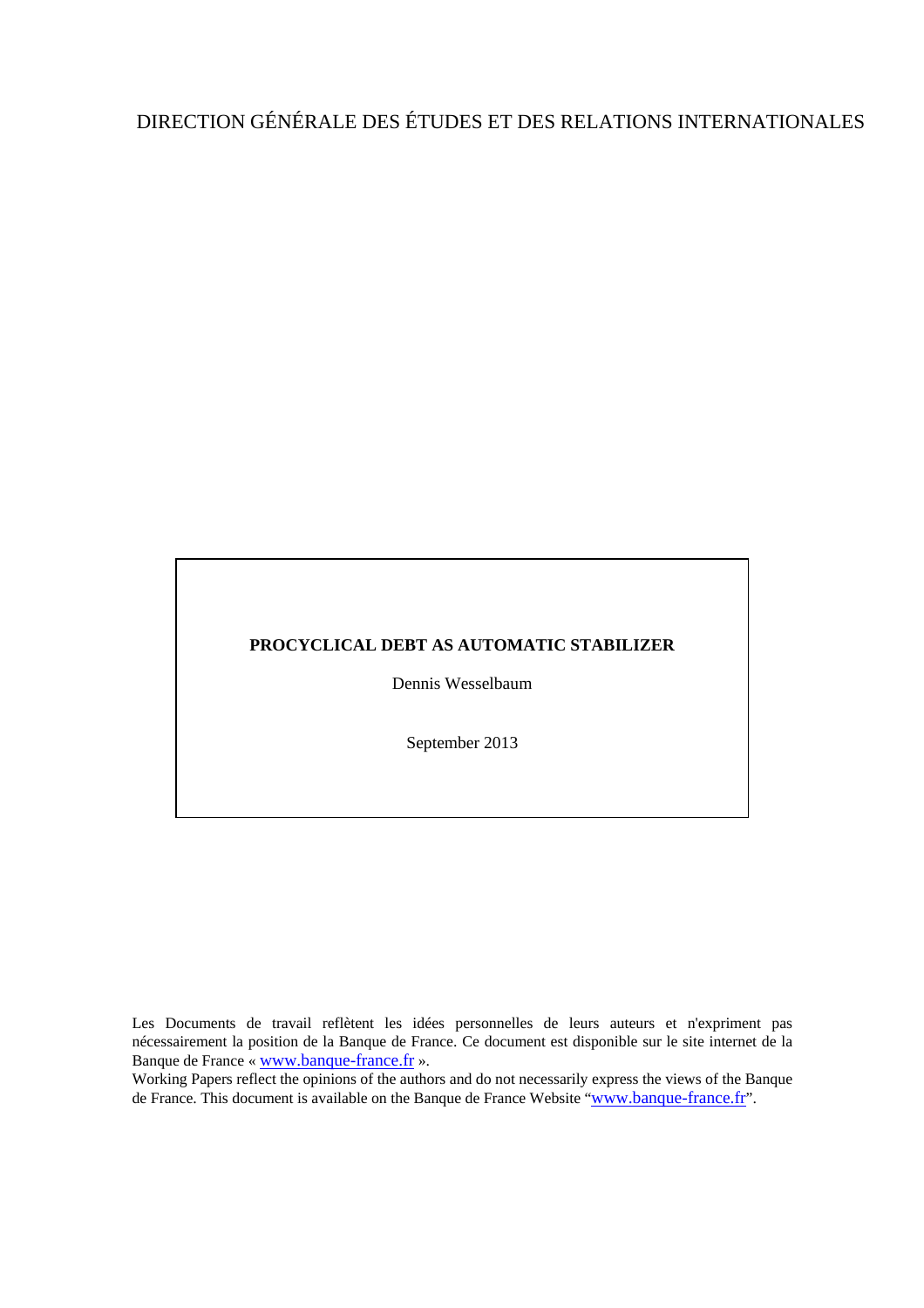# DIRECTION GÉNÉRALE DES ÉTUDES ET DES RELATIONS INTERNATIONALES

#### **PROCYCLICAL DEBT AS AUTOMATIC STABILIZER**

Dennis Wesselbaum

September 2013

Les Documents de travail reflètent les idées personnelles de leurs auteurs et n'expriment pas nécessairement la position de la Banque de France. Ce document est disponible sur le site internet de la Banque de France « [www.banque-france.fr](http://www.banque-france.fr/) ».

Working Papers reflect the opinions of the authors and do not necessarily express the views of the Banque de France. This document is available on the Banque de France Website "[www.banque-france.fr](http://www.banque-france.fr/)".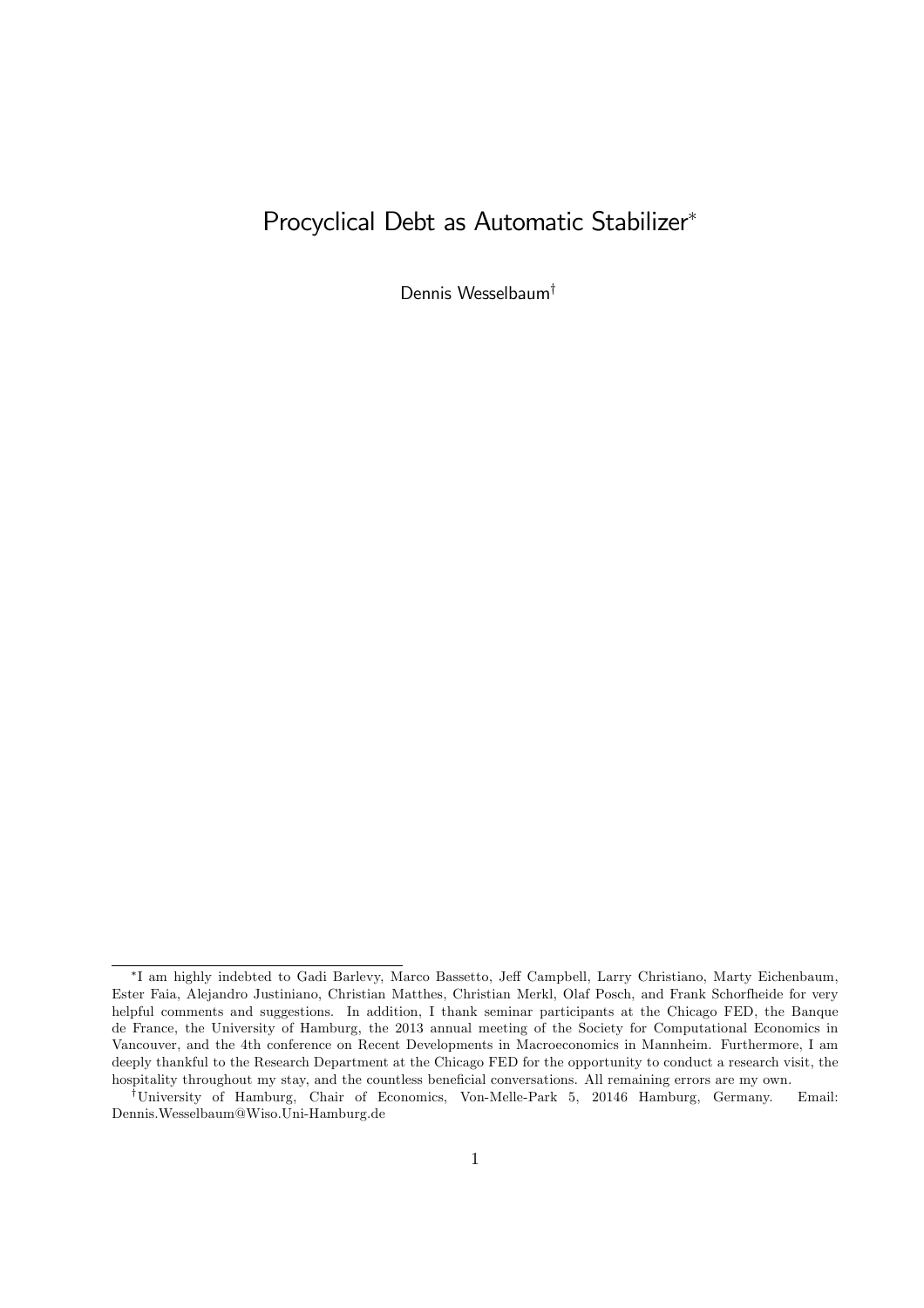# Procyclical Debt as Automatic Stabilizer<sup>∗</sup>

Dennis Wesselbaum†

<sup>∗</sup> I am highly indebted to Gadi Barlevy, Marco Bassetto, Jeff Campbell, Larry Christiano, Marty Eichenbaum, Ester Faia, Alejandro Justiniano, Christian Matthes, Christian Merkl, Olaf Posch, and Frank Schorfheide for very helpful comments and suggestions. In addition, I thank seminar participants at the Chicago FED, the Banque de France, the University of Hamburg, the 2013 annual meeting of the Society for Computational Economics in Vancouver, and the 4th conference on Recent Developments in Macroeconomics in Mannheim. Furthermore, I am deeply thankful to the Research Department at the Chicago FED for the opportunity to conduct a research visit, the hospitality throughout my stay, and the countless beneficial conversations. All remaining errors are my own.

<sup>†</sup>University of Hamburg, Chair of Economics, Von-Melle-Park 5, 20146 Hamburg, Germany. Email: Dennis.Wesselbaum@Wiso.Uni-Hamburg.de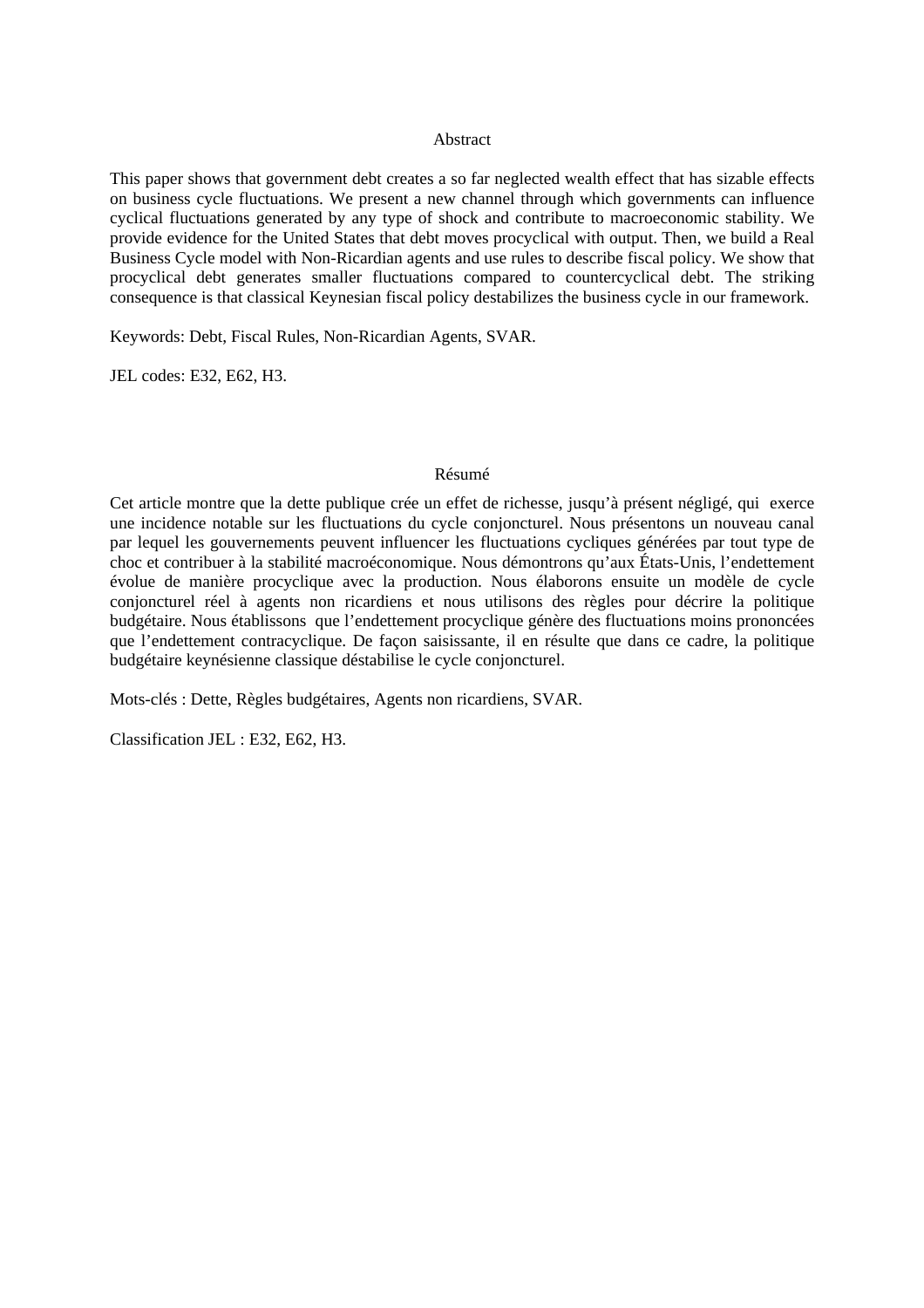#### Abstract

This paper shows that government debt creates a so far neglected wealth effect that has sizable effects on business cycle fluctuations. We present a new channel through which governments can influence cyclical fluctuations generated by any type of shock and contribute to macroeconomic stability. We provide evidence for the United States that debt moves procyclical with output. Then, we build a Real Business Cycle model with Non-Ricardian agents and use rules to describe fiscal policy. We show that procyclical debt generates smaller fluctuations compared to countercyclical debt. The striking consequence is that classical Keynesian fiscal policy destabilizes the business cycle in our framework.

Keywords: Debt, Fiscal Rules, Non-Ricardian Agents, SVAR.

JEL codes: E32, E62, H3.

#### Résumé

Cet article montre que la dette publique crée un effet de richesse, jusqu'à présent négligé, qui exerce une incidence notable sur les fluctuations du cycle conjoncturel. Nous présentons un nouveau canal par lequel les gouvernements peuvent influencer les fluctuations cycliques générées par tout type de choc et contribuer à la stabilité macroéconomique. Nous démontrons qu'aux États-Unis, l'endettement évolue de manière procyclique avec la production. Nous élaborons ensuite un modèle de cycle conjoncturel réel à agents non ricardiens et nous utilisons des règles pour décrire la politique budgétaire. Nous établissons que l'endettement procyclique génère des fluctuations moins prononcées que l'endettement contracyclique. De façon saisissante, il en résulte que dans ce cadre, la politique budgétaire keynésienne classique déstabilise le cycle conjoncturel.

Mots-clés : Dette, Règles budgétaires, Agents non ricardiens, SVAR.

Classification JEL : E32, E62, H3.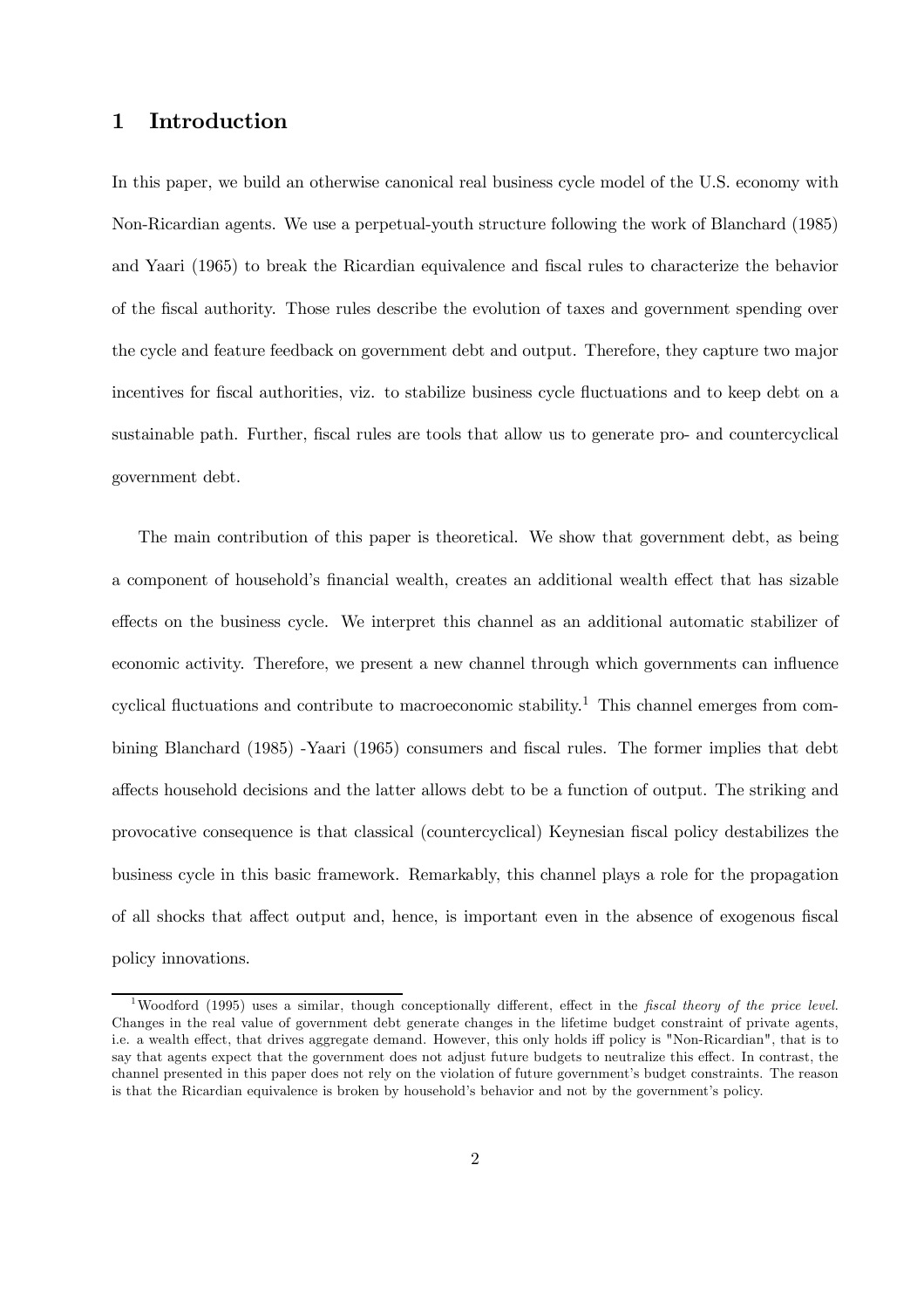## 1 Introduction

In this paper, we build an otherwise canonical real business cycle model of the U.S. economy with Non-Ricardian agents. We use a perpetual-youth structure following the work of Blanchard (1985) and Yaari (1965) to break the Ricardian equivalence and fiscal rules to characterize the behavior of the fiscal authority. Those rules describe the evolution of taxes and government spending over the cycle and feature feedback on government debt and output. Therefore, they capture two major incentives for fiscal authorities, viz. to stabilize business cycle fluctuations and to keep debt on a sustainable path. Further, fiscal rules are tools that allow us to generate pro- and countercyclical government debt.

The main contribution of this paper is theoretical. We show that government debt, as being a component of household's financial wealth, creates an additional wealth effect that has sizable effects on the business cycle. We interpret this channel as an additional automatic stabilizer of economic activity. Therefore, we present a new channel through which governments can influence cyclical fluctuations and contribute to macroeconomic stability.<sup>1</sup> This channel emerges from combining Blanchard (1985) -Yaari (1965) consumers and fiscal rules. The former implies that debt affects household decisions and the latter allows debt to be a function of output. The striking and provocative consequence is that classical (countercyclical) Keynesian fiscal policy destabilizes the business cycle in this basic framework. Remarkably, this channel plays a role for the propagation of all shocks that affect output and, hence, is important even in the absence of exogenous fiscal policy innovations.

<sup>&</sup>lt;sup>1</sup>Woodford (1995) uses a similar, though conceptionally different, effect in the *fiscal theory of the price level*. Changes in the real value of government debt generate changes in the lifetime budget constraint of private agents, i.e. a wealth effect, that drives aggregate demand. However, this only holds iff policy is "Non-Ricardian", that is to say that agents expect that the government does not adjust future budgets to neutralize this effect. In contrast, the channel presented in this paper does not rely on the violation of future government's budget constraints. The reason is that the Ricardian equivalence is broken by household's behavior and not by the government's policy.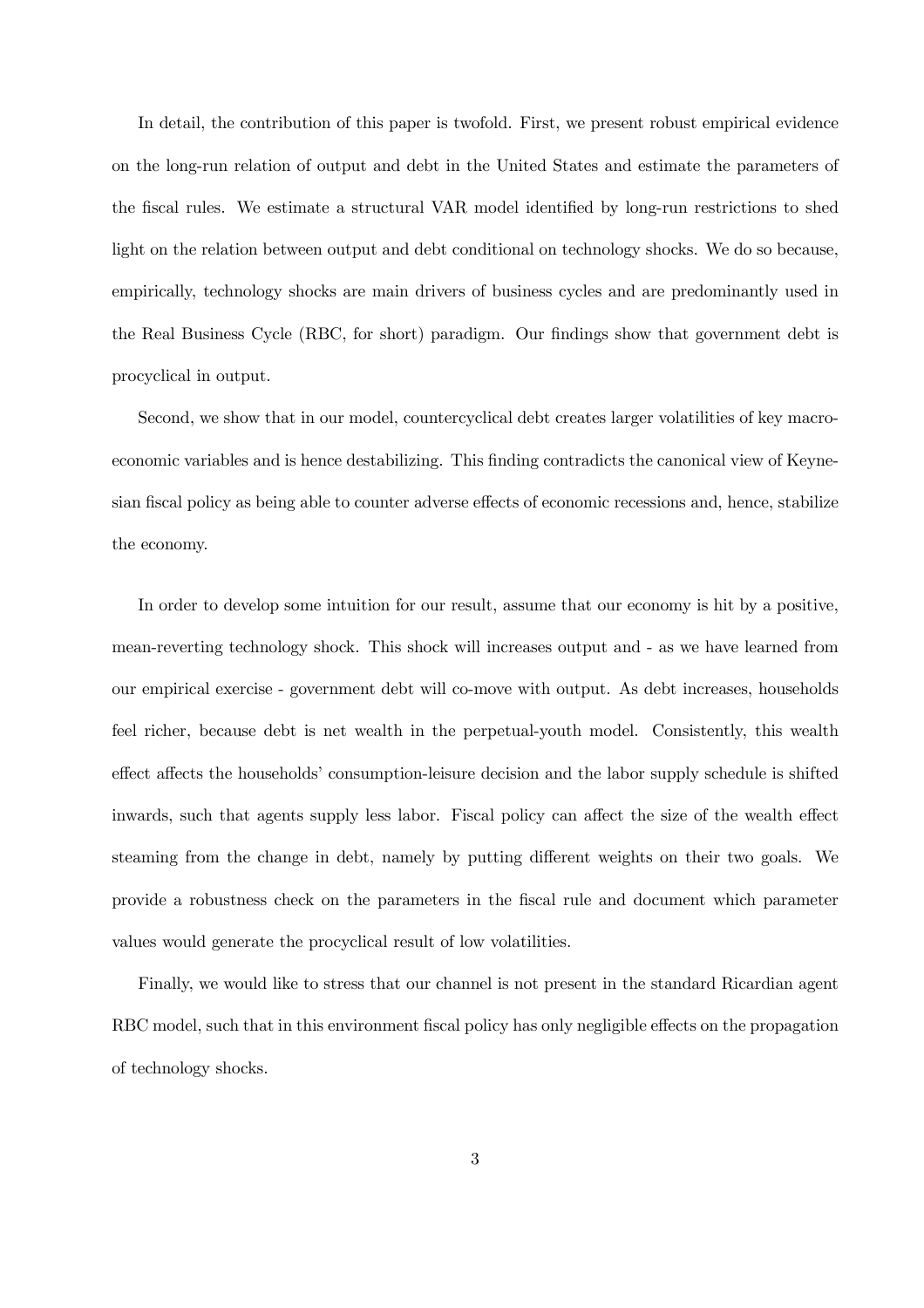In detail, the contribution of this paper is twofold. First, we present robust empirical evidence on the long-run relation of output and debt in the United States and estimate the parameters of the fiscal rules. We estimate a structural VAR model identified by long-run restrictions to shed light on the relation between output and debt conditional on technology shocks. We do so because, empirically, technology shocks are main drivers of business cycles and are predominantly used in the Real Business Cycle (RBC, for short) paradigm. Our findings show that government debt is procyclical in output.

Second, we show that in our model, countercyclical debt creates larger volatilities of key macroeconomic variables and is hence destabilizing. This finding contradicts the canonical view of Keynesian fiscal policy as being able to counter adverse effects of economic recessions and, hence, stabilize the economy.

In order to develop some intuition for our result, assume that our economy is hit by a positive, mean-reverting technology shock. This shock will increases output and - as we have learned from our empirical exercise - government debt will co-move with output. As debt increases, households feel richer, because debt is net wealth in the perpetual-youth model. Consistently, this wealth effect affects the households' consumption-leisure decision and the labor supply schedule is shifted inwards, such that agents supply less labor. Fiscal policy can affect the size of the wealth effect steaming from the change in debt, namely by putting different weights on their two goals. We provide a robustness check on the parameters in the fiscal rule and document which parameter values would generate the procyclical result of low volatilities.

Finally, we would like to stress that our channel is not present in the standard Ricardian agent RBC model, such that in this environment fiscal policy has only negligible effects on the propagation of technology shocks.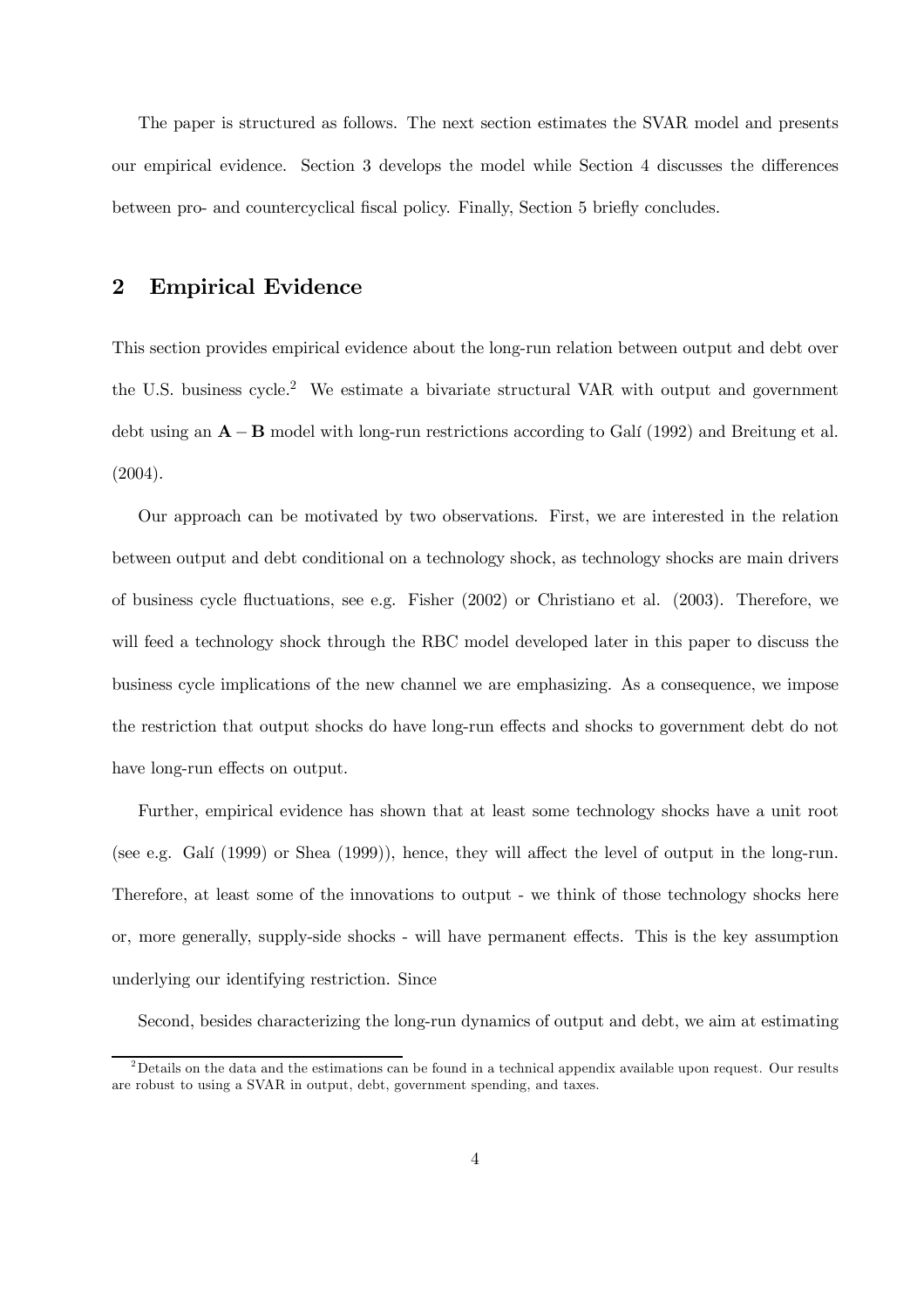The paper is structured as follows. The next section estimates the SVAR model and presents our empirical evidence. Section 3 develops the model while Section 4 discusses the differences between pro- and countercyclical fiscal policy. Finally, Section 5 briefly concludes.

# 2 Empirical Evidence

This section provides empirical evidence about the long-run relation between output and debt over the U.S. business cycle.<sup>2</sup> We estimate a bivariate structural VAR with output and government debt using an A − B model with long-run restrictions according to Galí (1992) and Breitung et al. (2004).

Our approach can be motivated by two observations. First, we are interested in the relation between output and debt conditional on a technology shock, as technology shocks are main drivers of business cycle fluctuations, see e.g. Fisher (2002) or Christiano et al. (2003). Therefore, we will feed a technology shock through the RBC model developed later in this paper to discuss the business cycle implications of the new channel we are emphasizing. As a consequence, we impose the restriction that output shocks do have long-run effects and shocks to government debt do not have long-run effects on output.

Further, empirical evidence has shown that at least some technology shocks have a unit root (see e.g. Galí (1999) or Shea (1999)), hence, they will affect the level of output in the long-run. Therefore, at least some of the innovations to output - we think of those technology shocks here or, more generally, supply-side shocks - will have permanent effects. This is the key assumption underlying our identifying restriction. Since

Second, besides characterizing the long-run dynamics of output and debt, we aim at estimating

<sup>&</sup>lt;sup>2</sup>Details on the data and the estimations can be found in a technical appendix available upon request. Our results are robust to using a SVAR in output, debt, government spending, and taxes.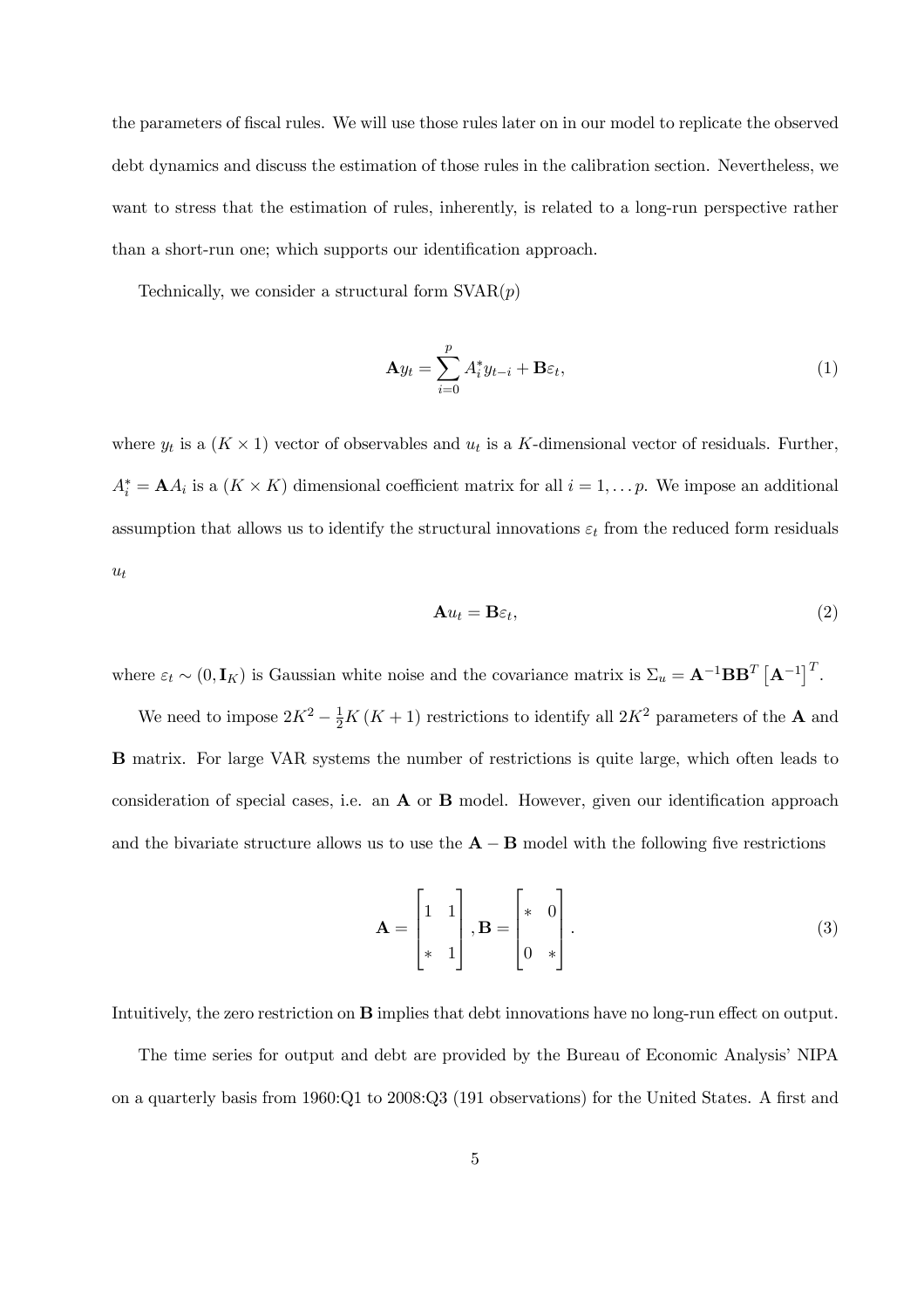the parameters of fiscal rules. We will use those rules later on in our model to replicate the observed debt dynamics and discuss the estimation of those rules in the calibration section. Nevertheless, we want to stress that the estimation of rules, inherently, is related to a long-run perspective rather than a short-run one; which supports our identification approach.

Technically, we consider a structural form  $\text{SVAR}(p)$ 

$$
\mathbf{A}y_t = \sum_{i=0}^p A_i^* y_{t-i} + \mathbf{B}\varepsilon_t, \tag{1}
$$

where  $y_t$  is a  $(K \times 1)$  vector of observables and  $u_t$  is a K-dimensional vector of residuals. Further,  $A_i^* = \mathbf{A} A_i$  is a  $(K \times K)$  dimensional coefficient matrix for all  $i = 1, \ldots p$ . We impose an additional assumption that allows us to identify the structural innovations  $\varepsilon_t$  from the reduced form residuals  $u_t$ 

$$
\mathbf{A}u_t = \mathbf{B}\varepsilon_t,\tag{2}
$$

where  $\varepsilon_t \sim (0, \mathbf{I}_K)$  is Gaussian white noise and the covariance matrix is  $\Sigma_u = \mathbf{A}^{-1} \mathbf{B} \mathbf{B}^T \left[ \mathbf{A}^{-1} \right]^T$ .

We need to impose  $2K^2 - \frac{1}{2}K(K+1)$  restrictions to identify all  $2K^2$  parameters of the **A** and B matrix. For large VAR systems the number of restrictions is quite large, which often leads to consideration of special cases, i.e. an A or B model. However, given our identification approach and the bivariate structure allows us to use the  $\mathbf{A} - \mathbf{B}$  model with the following five restrictions

$$
\mathbf{A} = \begin{bmatrix} 1 & 1 \\ * & 1 \end{bmatrix}, \mathbf{B} = \begin{bmatrix} * & 0 \\ 0 & * \end{bmatrix}.
$$
 (3)

Intuitively, the zero restriction on B implies that debt innovations have no long-run effect on output.

The time series for output and debt are provided by the Bureau of Economic Analysis' NIPA on a quarterly basis from 1960:Q1 to 2008:Q3 (191 observations) for the United States. A first and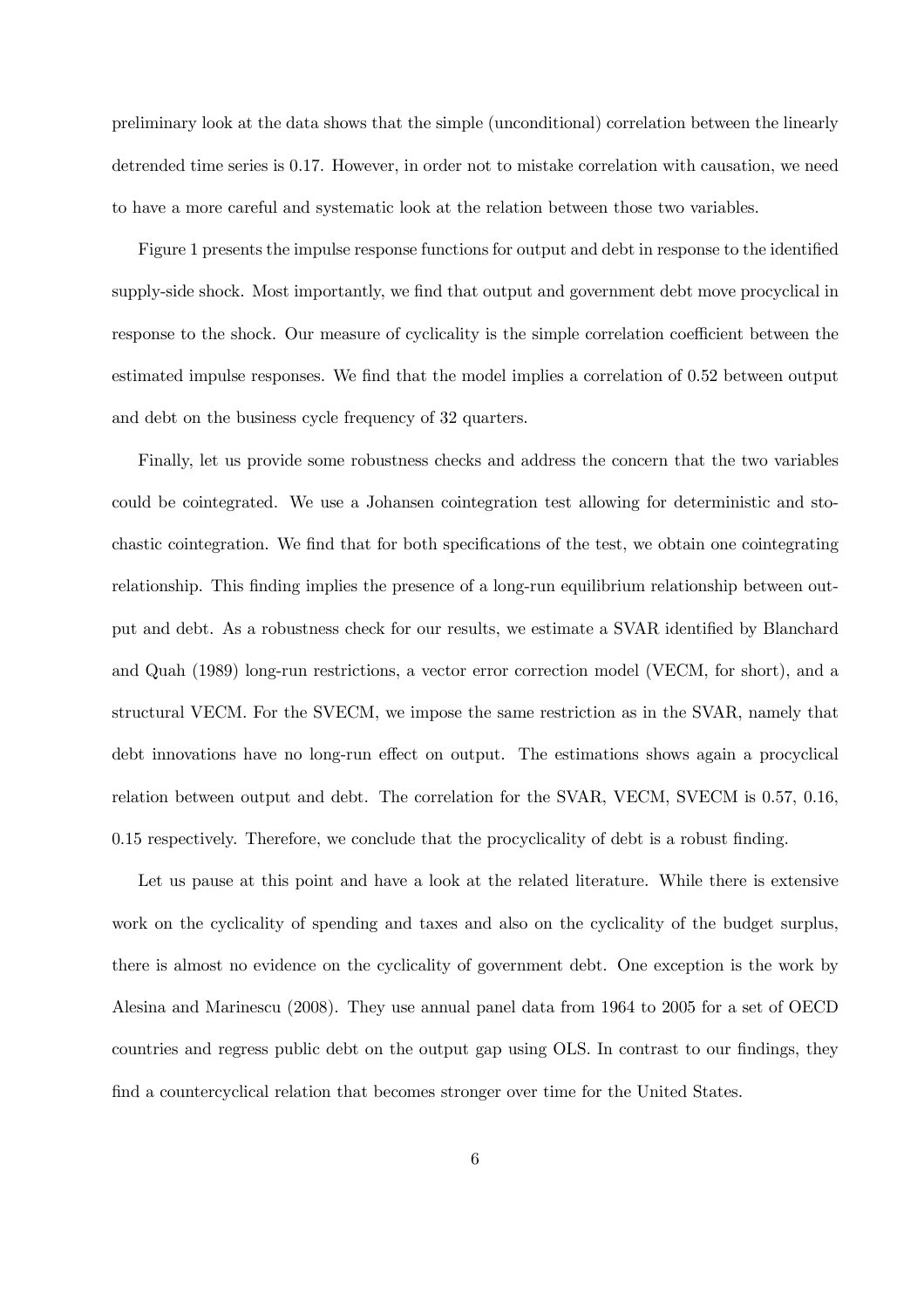preliminary look at the data shows that the simple (unconditional) correlation between the linearly detrended time series is 0.17. However, in order not to mistake correlation with causation, we need to have a more careful and systematic look at the relation between those two variables.

Figure 1 presents the impulse response functions for output and debt in response to the identified supply-side shock. Most importantly, we find that output and government debt move procyclical in response to the shock. Our measure of cyclicality is the simple correlation coefficient between the estimated impulse responses. We find that the model implies a correlation of 0.52 between output and debt on the business cycle frequency of 32 quarters.

Finally, let us provide some robustness checks and address the concern that the two variables could be cointegrated. We use a Johansen cointegration test allowing for deterministic and stochastic cointegration. We find that for both specifications of the test, we obtain one cointegrating relationship. This finding implies the presence of a long-run equilibrium relationship between output and debt. As a robustness check for our results, we estimate a SVAR identified by Blanchard and Quah (1989) long-run restrictions, a vector error correction model (VECM, for short), and a structural VECM. For the SVECM, we impose the same restriction as in the SVAR, namely that debt innovations have no long-run effect on output. The estimations shows again a procyclical relation between output and debt. The correlation for the SVAR, VECM, SVECM is 0.57, 0.16, 0.15 respectively. Therefore, we conclude that the procyclicality of debt is a robust finding.

Let us pause at this point and have a look at the related literature. While there is extensive work on the cyclicality of spending and taxes and also on the cyclicality of the budget surplus, there is almost no evidence on the cyclicality of government debt. One exception is the work by Alesina and Marinescu (2008). They use annual panel data from 1964 to 2005 for a set of OECD countries and regress public debt on the output gap using OLS. In contrast to our findings, they find a countercyclical relation that becomes stronger over time for the United States.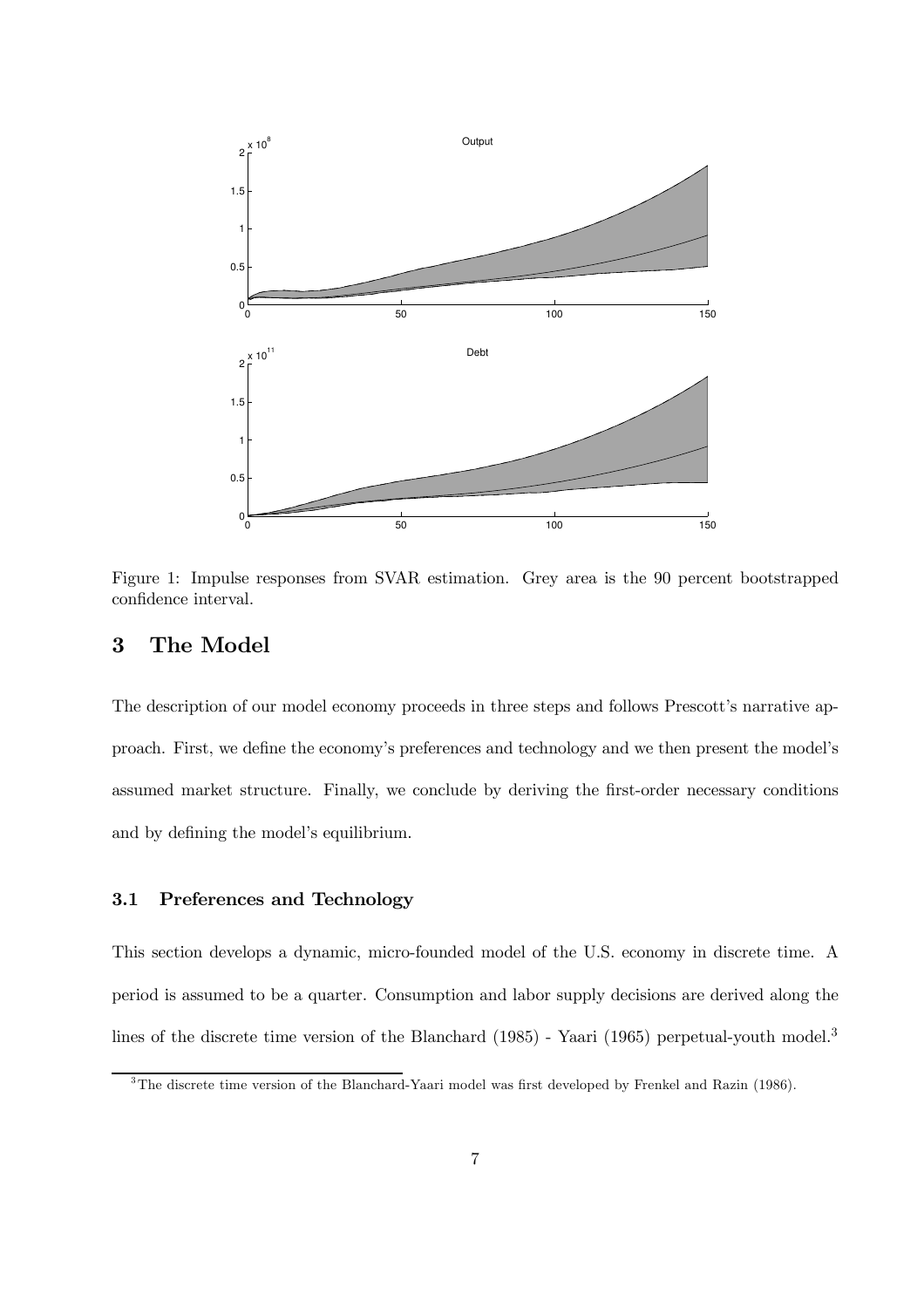

Figure 1: Impulse responses from SVAR estimation. Grey area is the 90 percent bootstrapped confidence interval.

## 3 The Model

The description of our model economy proceeds in three steps and follows Prescott's narrative approach. First, we define the economy's preferences and technology and we then present the model's assumed market structure. Finally, we conclude by deriving the first-order necessary conditions and by defining the model's equilibrium.

#### 3.1 Preferences and Technology

This section develops a dynamic, micro-founded model of the U.S. economy in discrete time. A period is assumed to be a quarter. Consumption and labor supply decisions are derived along the lines of the discrete time version of the Blanchard (1985) - Yaari (1965) perpetual-youth model.<sup>3</sup>

<sup>&</sup>lt;sup>3</sup>The discrete time version of the Blanchard-Yaari model was first developed by Frenkel and Razin (1986).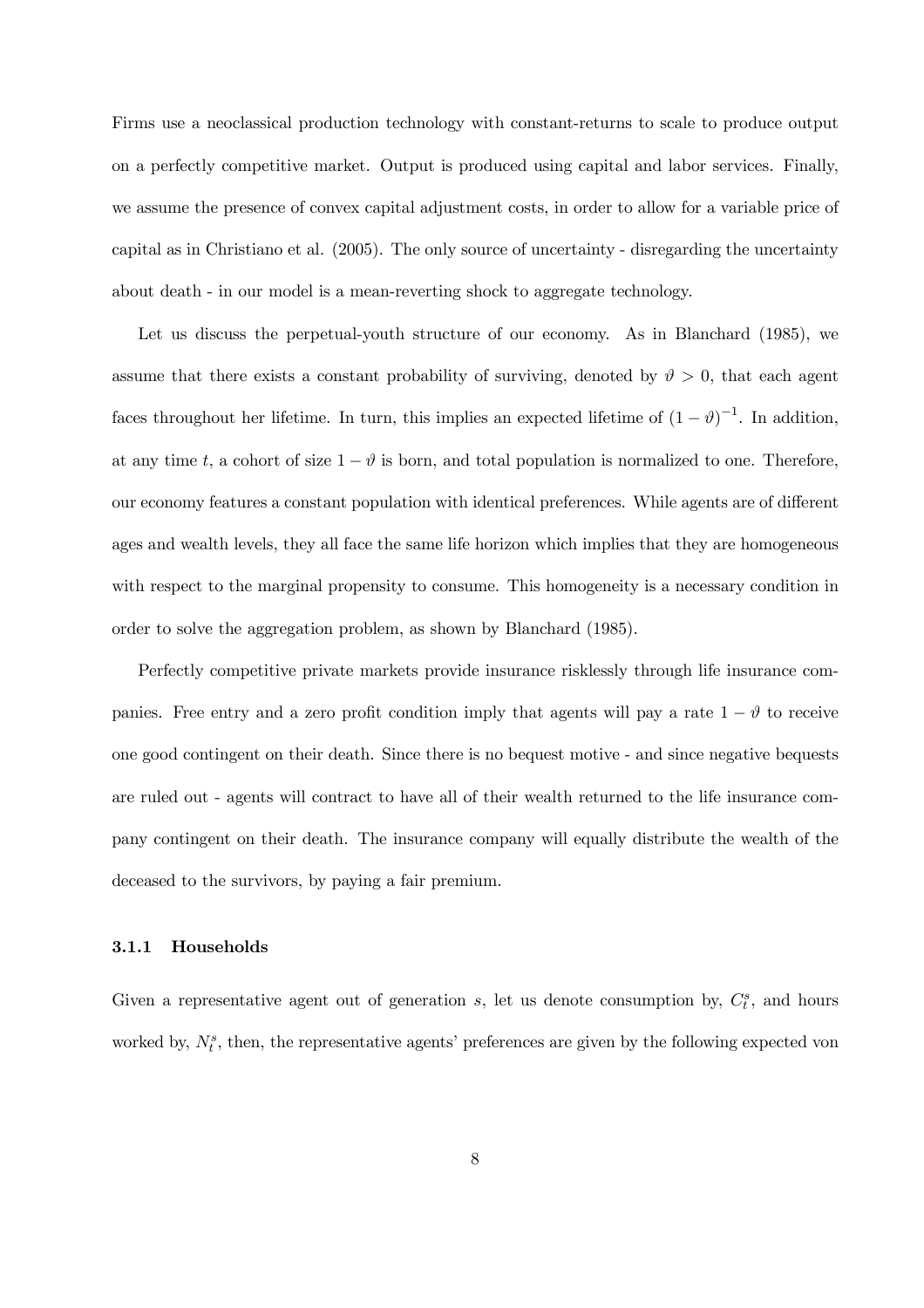Firms use a neoclassical production technology with constant-returns to scale to produce output on a perfectly competitive market. Output is produced using capital and labor services. Finally, we assume the presence of convex capital adjustment costs, in order to allow for a variable price of capital as in Christiano et al. (2005). The only source of uncertainty - disregarding the uncertainty about death - in our model is a mean-reverting shock to aggregate technology.

Let us discuss the perpetual-youth structure of our economy. As in Blanchard (1985), we assume that there exists a constant probability of surviving, denoted by  $\vartheta > 0$ , that each agent faces throughout her lifetime. In turn, this implies an expected lifetime of  $(1 - \vartheta)^{-1}$ . In addition, at any time t, a cohort of size  $1 - \vartheta$  is born, and total population is normalized to one. Therefore, our economy features a constant population with identical preferences. While agents are of different ages and wealth levels, they all face the same life horizon which implies that they are homogeneous with respect to the marginal propensity to consume. This homogeneity is a necessary condition in order to solve the aggregation problem, as shown by Blanchard (1985).

Perfectly competitive private markets provide insurance risklessly through life insurance companies. Free entry and a zero profit condition imply that agents will pay a rate  $1 - \vartheta$  to receive one good contingent on their death. Since there is no bequest motive - and since negative bequests are ruled out - agents will contract to have all of their wealth returned to the life insurance company contingent on their death. The insurance company will equally distribute the wealth of the deceased to the survivors, by paying a fair premium.

#### 3.1.1 Households

Given a representative agent out of generation  $s$ , let us denote consumption by,  $C_t^s$ , and hours worked by,  $N_t^s$ , then, the representative agents' preferences are given by the following expected von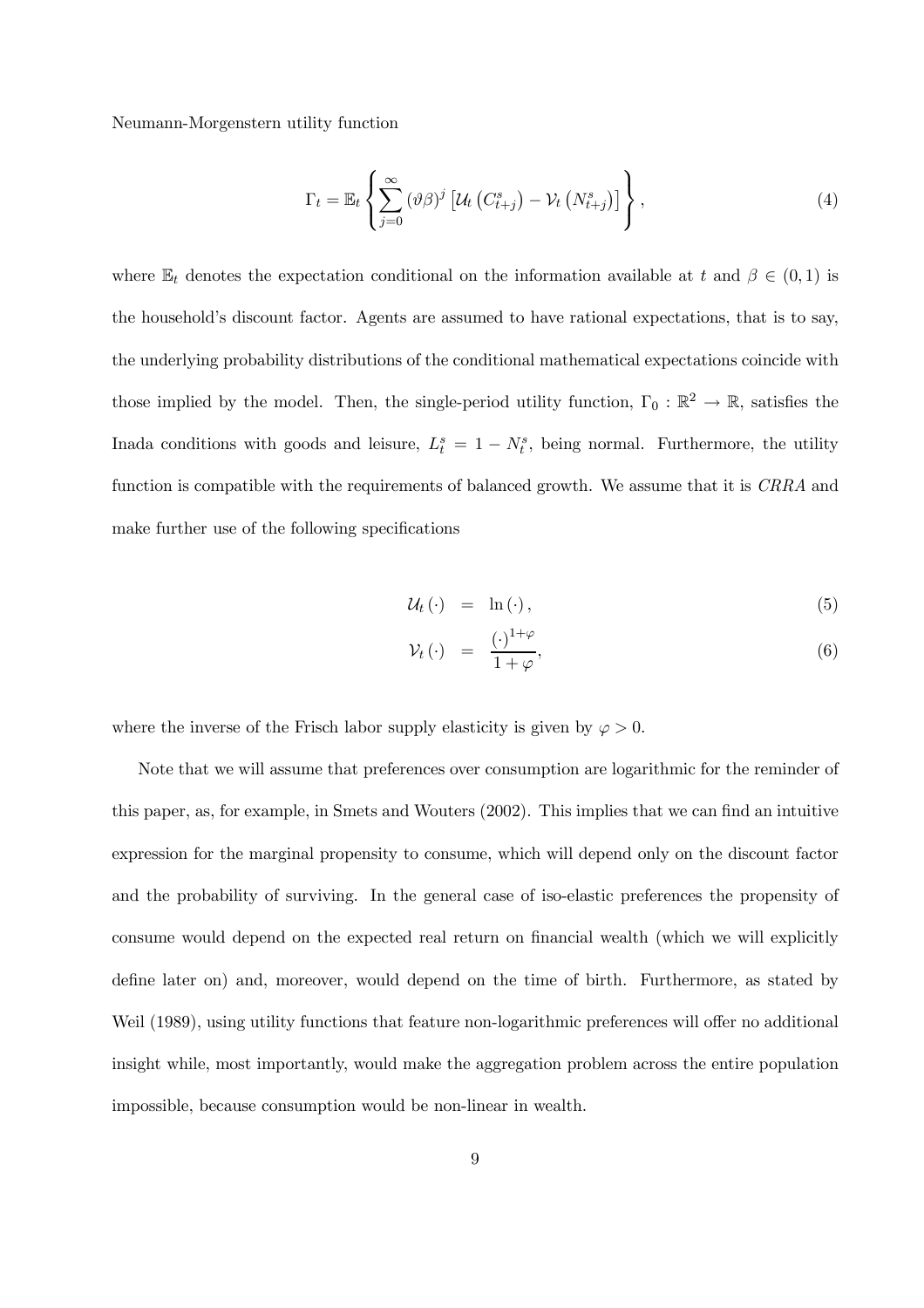Neumann-Morgenstern utility function

$$
\Gamma_t = \mathbb{E}_t \left\{ \sum_{j=0}^{\infty} (\vartheta \beta)^j \left[ \mathcal{U}_t \left( C_{t+j}^s \right) - \mathcal{V}_t \left( N_{t+j}^s \right) \right] \right\},\tag{4}
$$

where  $\mathbb{E}_t$  denotes the expectation conditional on the information available at t and  $\beta \in (0,1)$  is the household's discount factor. Agents are assumed to have rational expectations, that is to say, the underlying probability distributions of the conditional mathematical expectations coincide with those implied by the model. Then, the single-period utility function,  $\Gamma_0 : \mathbb{R}^2 \to \mathbb{R}$ , satisfies the Inada conditions with goods and leisure,  $L_t^s = 1 - N_t^s$ , being normal. Furthermore, the utility function is compatible with the requirements of balanced growth. We assume that it is CRRA and make further use of the following specifications

$$
\mathcal{U}_t \left( \cdot \right) = \ln \left( \cdot \right), \tag{5}
$$

$$
\mathcal{V}_t \left( \cdot \right) \quad = \quad \frac{\left( \cdot \right)^{1+\varphi}}{1+\varphi}, \tag{6}
$$

where the inverse of the Frisch labor supply elasticity is given by  $\varphi > 0$ .

Note that we will assume that preferences over consumption are logarithmic for the reminder of this paper, as, for example, in Smets and Wouters (2002). This implies that we can find an intuitive expression for the marginal propensity to consume, which will depend only on the discount factor and the probability of surviving. In the general case of iso-elastic preferences the propensity of consume would depend on the expected real return on financial wealth (which we will explicitly define later on) and, moreover, would depend on the time of birth. Furthermore, as stated by Weil (1989), using utility functions that feature non-logarithmic preferences will offer no additional insight while, most importantly, would make the aggregation problem across the entire population impossible, because consumption would be non-linear in wealth.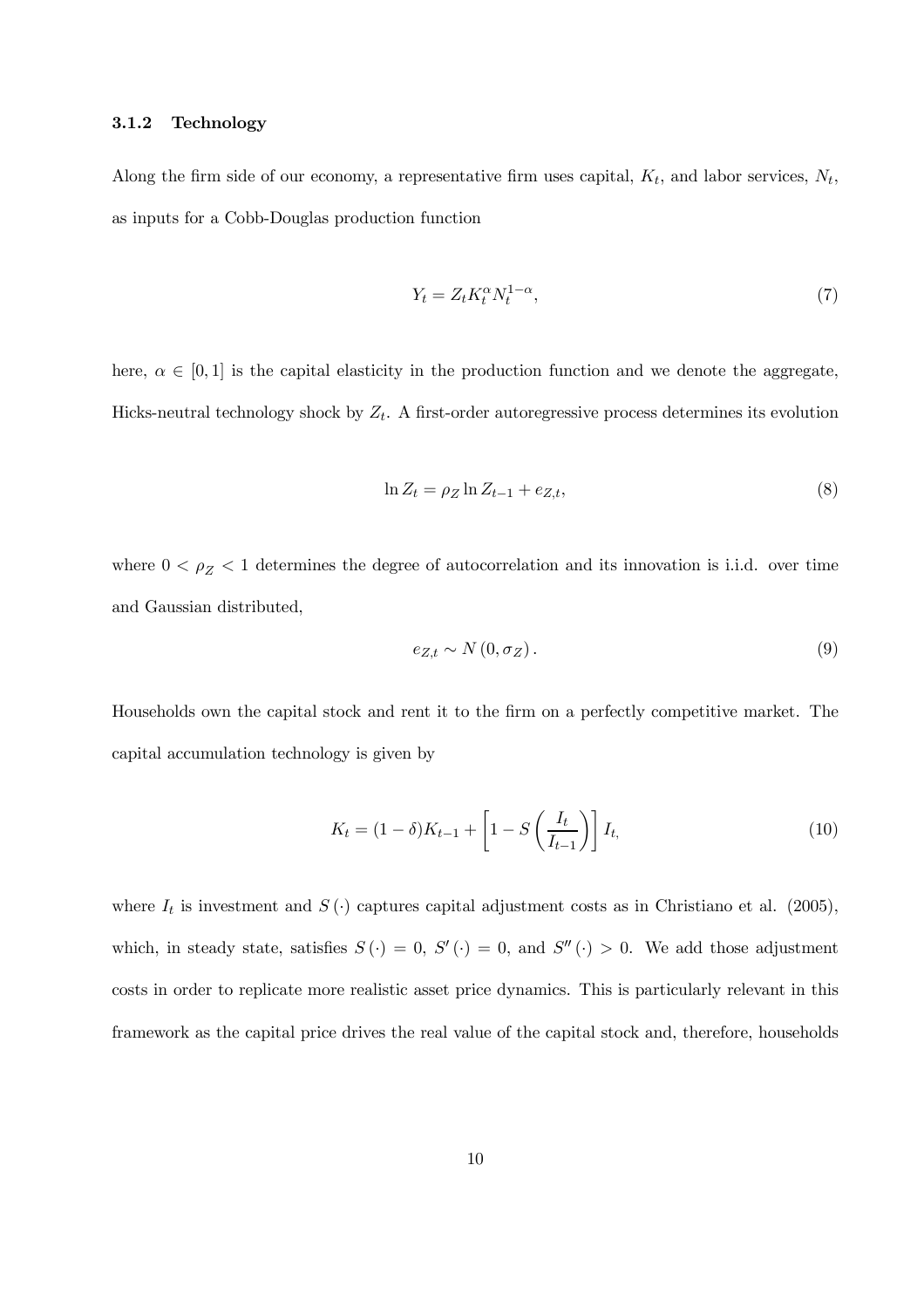#### 3.1.2 Technology

Along the firm side of our economy, a representative firm uses capital,  $K_t$ , and labor services,  $N_t$ , as inputs for a Cobb-Douglas production function

$$
Y_t = Z_t K_t^{\alpha} N_t^{1-\alpha},\tag{7}
$$

here,  $\alpha \in [0,1]$  is the capital elasticity in the production function and we denote the aggregate, Hicks-neutral technology shock by  $Z_t$ . A first-order autoregressive process determines its evolution

$$
\ln Z_t = \rho_Z \ln Z_{t-1} + e_{Z,t},\tag{8}
$$

where  $0 < \rho_Z < 1$  determines the degree of autocorrelation and its innovation is i.i.d. over time and Gaussian distributed,

$$
e_{Z,t} \sim N(0, \sigma_Z). \tag{9}
$$

Households own the capital stock and rent it to the firm on a perfectly competitive market. The capital accumulation technology is given by

$$
K_t = (1 - \delta)K_{t-1} + \left[1 - S\left(\frac{I_t}{I_{t-1}}\right)\right]I_t,
$$
\n(10)

where  $I_t$  is investment and  $S(\cdot)$  captures capital adjustment costs as in Christiano et al. (2005), which, in steady state, satisfies  $S(\cdot) = 0$ ,  $S'(\cdot) = 0$ , and  $S''(\cdot) > 0$ . We add those adjustment costs in order to replicate more realistic asset price dynamics. This is particularly relevant in this framework as the capital price drives the real value of the capital stock and, therefore, households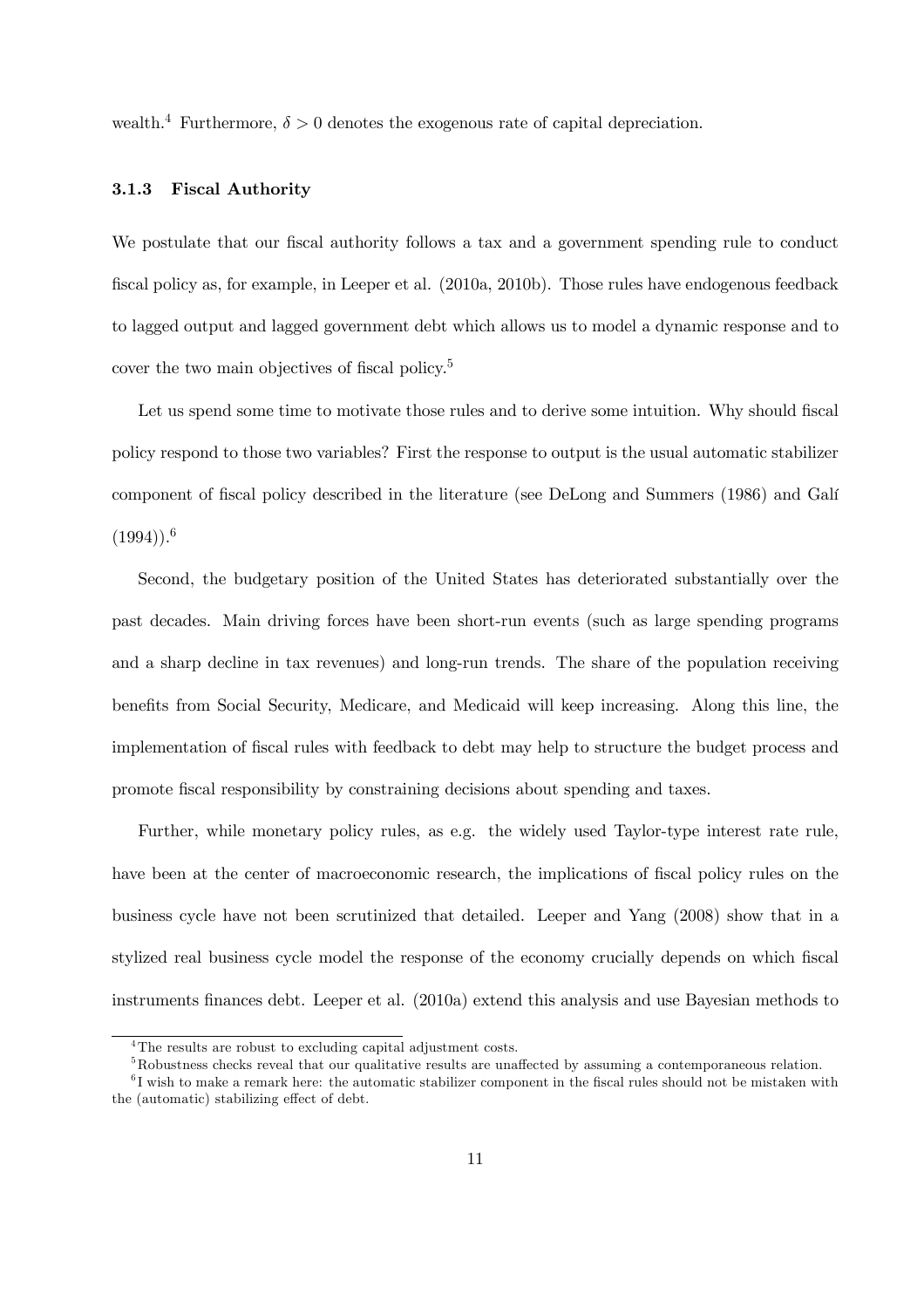wealth.<sup>4</sup> Furthermore,  $\delta > 0$  denotes the exogenous rate of capital depreciation.

#### 3.1.3 Fiscal Authority

We postulate that our fiscal authority follows a tax and a government spending rule to conduct fiscal policy as, for example, in Leeper et al. (2010a, 2010b). Those rules have endogenous feedback to lagged output and lagged government debt which allows us to model a dynamic response and to cover the two main objectives of fiscal policy.<sup>5</sup>

Let us spend some time to motivate those rules and to derive some intuition. Why should fiscal policy respond to those two variables? First the response to output is the usual automatic stabilizer component of fiscal policy described in the literature (see DeLong and Summers (1986) and Galí  $(1994)$ .<sup>6</sup>

Second, the budgetary position of the United States has deteriorated substantially over the past decades. Main driving forces have been short-run events (such as large spending programs and a sharp decline in tax revenues) and long-run trends. The share of the population receiving benefits from Social Security, Medicare, and Medicaid will keep increasing. Along this line, the implementation of fiscal rules with feedback to debt may help to structure the budget process and promote fiscal responsibility by constraining decisions about spending and taxes.

Further, while monetary policy rules, as e.g. the widely used Taylor-type interest rate rule, have been at the center of macroeconomic research, the implications of fiscal policy rules on the business cycle have not been scrutinized that detailed. Leeper and Yang (2008) show that in a stylized real business cycle model the response of the economy crucially depends on which fiscal instruments finances debt. Leeper et al. (2010a) extend this analysis and use Bayesian methods to

<sup>&</sup>lt;sup>4</sup>The results are robust to excluding capital adjustment costs.

 ${}^{5}$ Robustness checks reveal that our qualitative results are unaffected by assuming a contemporaneous relation.

<sup>&</sup>lt;sup>6</sup>I wish to make a remark here: the automatic stabilizer component in the fiscal rules should not be mistaken with the (automatic) stabilizing effect of debt.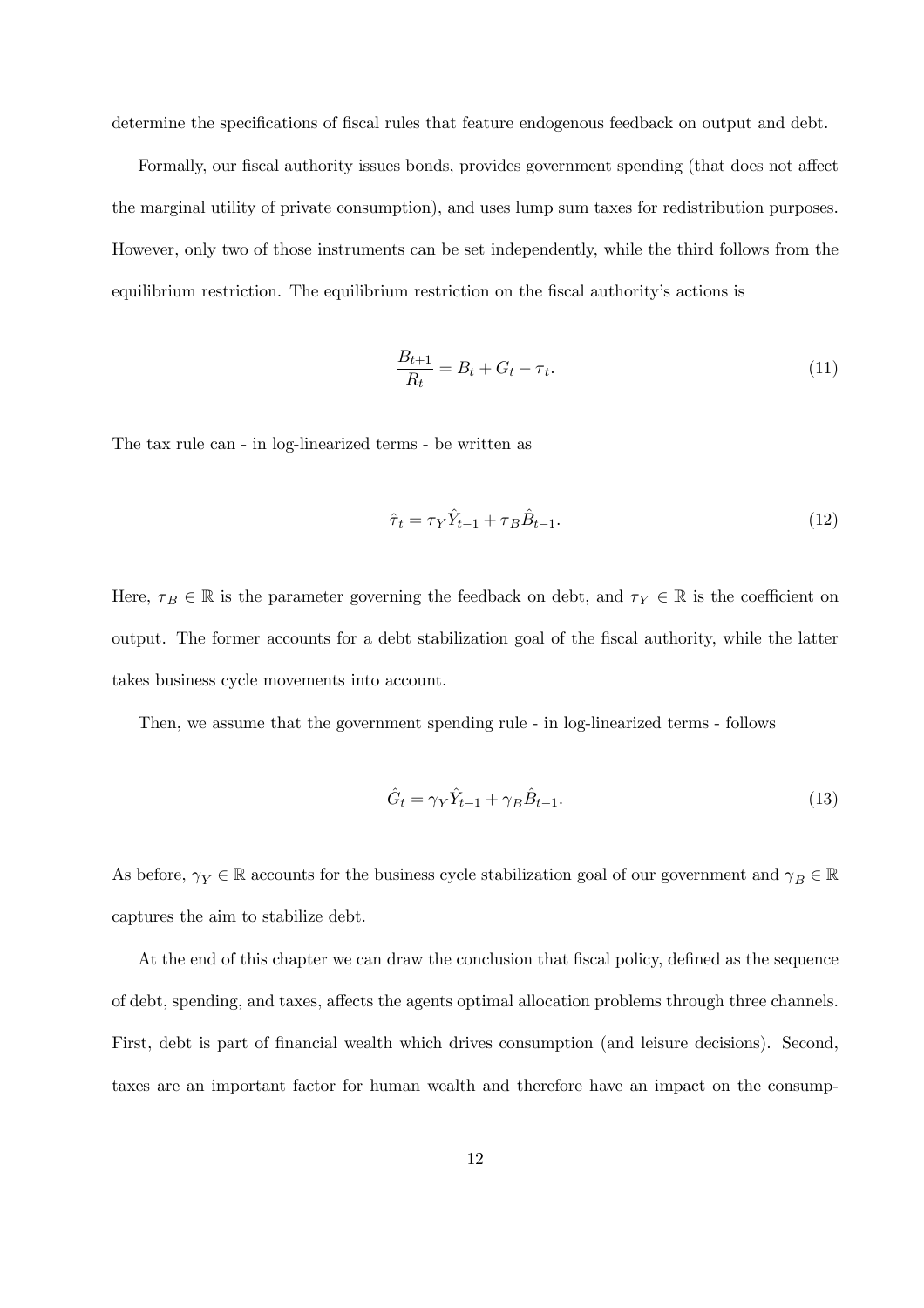determine the specifications of fiscal rules that feature endogenous feedback on output and debt.

Formally, our fiscal authority issues bonds, provides government spending (that does not affect the marginal utility of private consumption), and uses lump sum taxes for redistribution purposes. However, only two of those instruments can be set independently, while the third follows from the equilibrium restriction. The equilibrium restriction on the fiscal authority's actions is

$$
\frac{B_{t+1}}{R_t} = B_t + G_t - \tau_t.
$$
\n(11)

The tax rule can - in log-linearized terms - be written as

$$
\hat{\tau}_t = \tau_Y \hat{Y}_{t-1} + \tau_B \hat{B}_{t-1}.
$$
\n(12)

Here,  $\tau_B \in \mathbb{R}$  is the parameter governing the feedback on debt, and  $\tau_Y \in \mathbb{R}$  is the coefficient on output. The former accounts for a debt stabilization goal of the fiscal authority, while the latter takes business cycle movements into account.

Then, we assume that the government spending rule - in log-linearized terms - follows

$$
\hat{G}_t = \gamma_Y \hat{Y}_{t-1} + \gamma_B \hat{B}_{t-1}.
$$
\n(13)

As before,  $\gamma_Y\in\mathbb{R}$  accounts for the business cycle stabilization goal of our government and  $\gamma_B\in\mathbb{R}$ captures the aim to stabilize debt.

At the end of this chapter we can draw the conclusion that fiscal policy, defined as the sequence of debt, spending, and taxes, affects the agents optimal allocation problems through three channels. First, debt is part of financial wealth which drives consumption (and leisure decisions). Second, taxes are an important factor for human wealth and therefore have an impact on the consump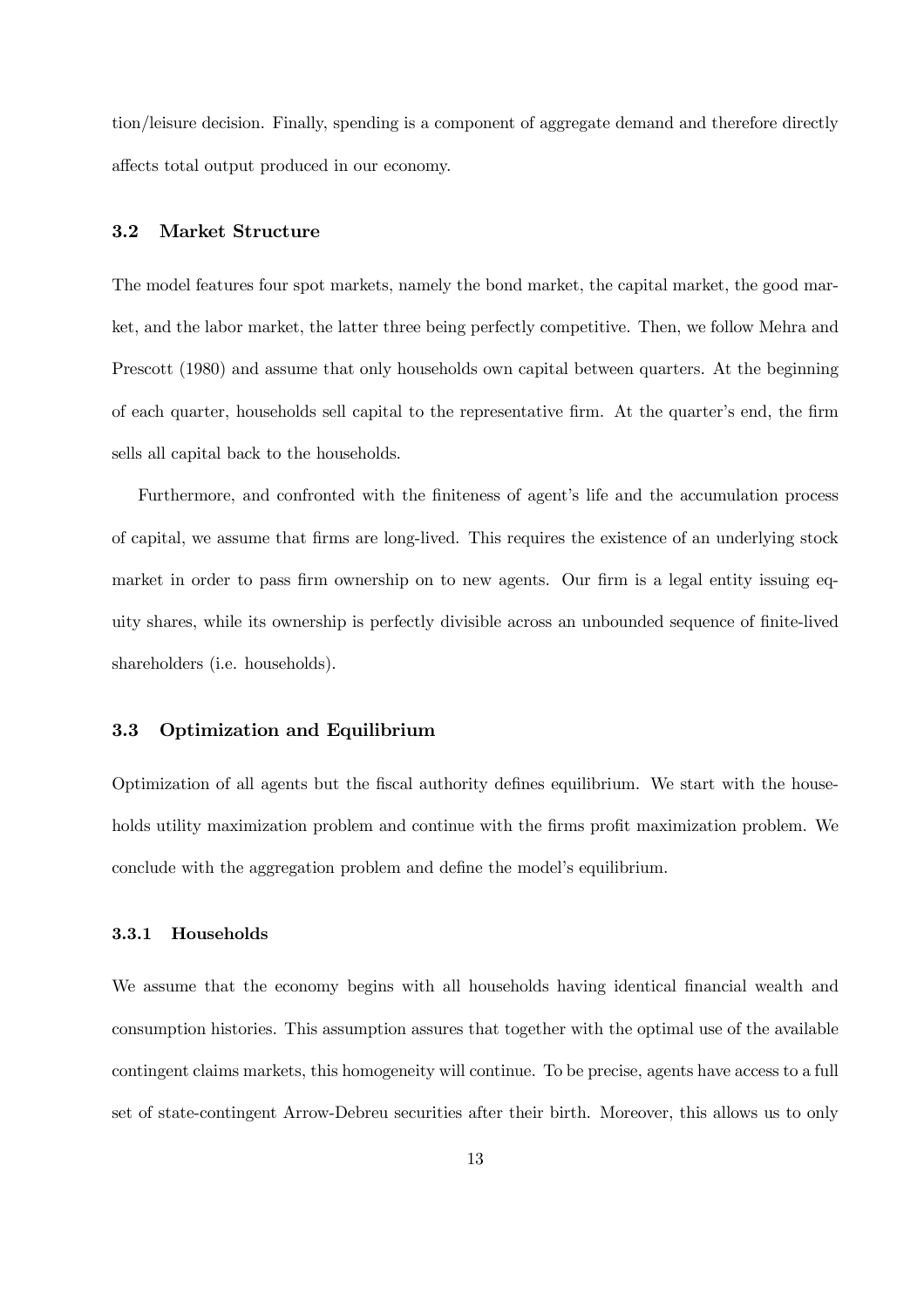tion/leisure decision. Finally, spending is a component of aggregate demand and therefore directly affects total output produced in our economy.

#### 3.2 Market Structure

The model features four spot markets, namely the bond market, the capital market, the good market, and the labor market, the latter three being perfectly competitive. Then, we follow Mehra and Prescott (1980) and assume that only households own capital between quarters. At the beginning of each quarter, households sell capital to the representative firm. At the quarter's end, the firm sells all capital back to the households.

Furthermore, and confronted with the finiteness of agent's life and the accumulation process of capital, we assume that firms are long-lived. This requires the existence of an underlying stock market in order to pass firm ownership on to new agents. Our firm is a legal entity issuing equity shares, while its ownership is perfectly divisible across an unbounded sequence of finite-lived shareholders (i.e. households).

#### 3.3 Optimization and Equilibrium

Optimization of all agents but the fiscal authority defines equilibrium. We start with the households utility maximization problem and continue with the firms profit maximization problem. We conclude with the aggregation problem and define the model's equilibrium.

#### 3.3.1 Households

We assume that the economy begins with all households having identical financial wealth and consumption histories. This assumption assures that together with the optimal use of the available contingent claims markets, this homogeneity will continue. To be precise, agents have access to a full set of state-contingent Arrow-Debreu securities after their birth. Moreover, this allows us to only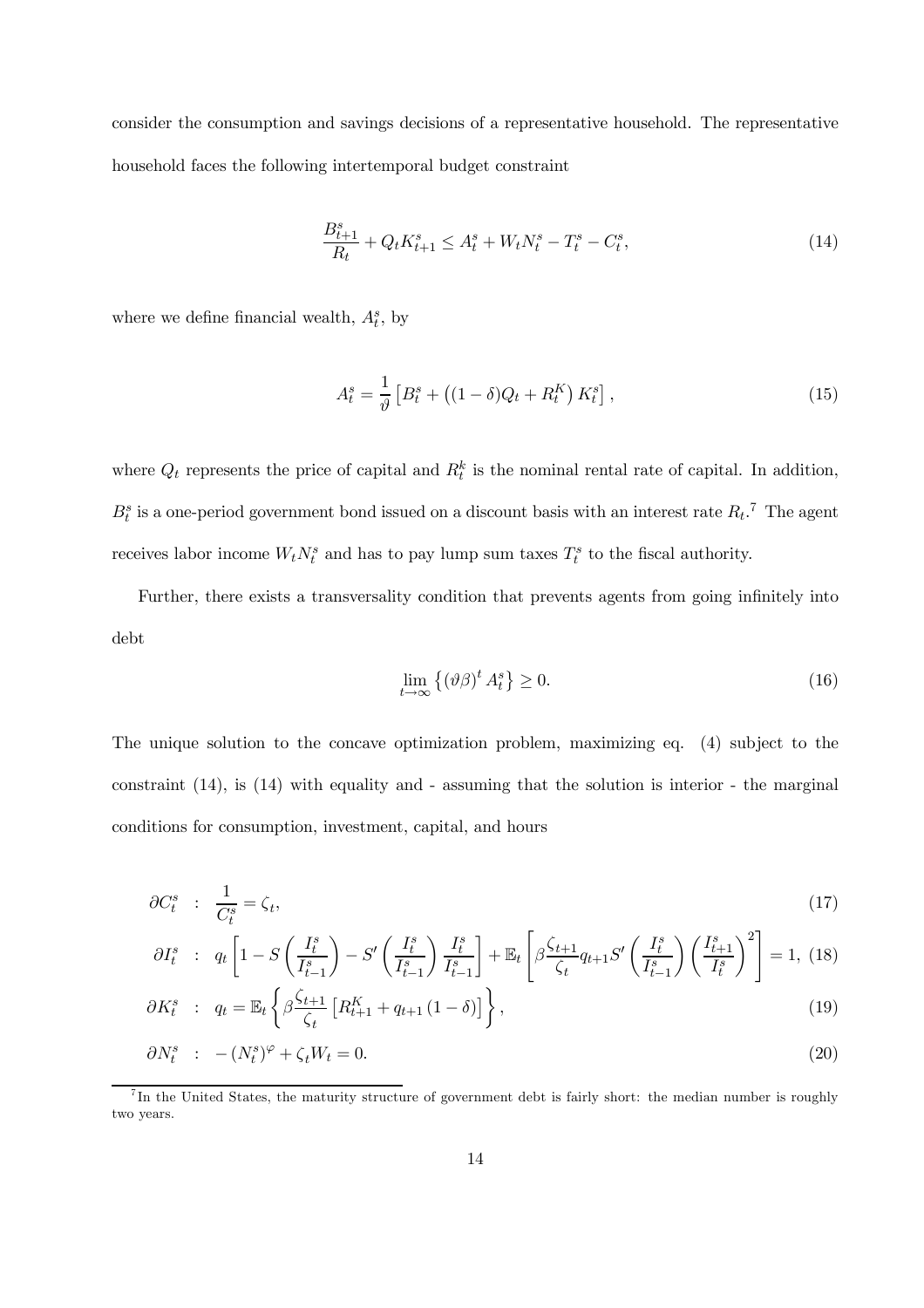consider the consumption and savings decisions of a representative household. The representative household faces the following intertemporal budget constraint

$$
\frac{B_{t+1}^s}{R_t} + Q_t K_{t+1}^s \le A_t^s + W_t N_t^s - T_t^s - C_t^s,
$$
\n(14)

where we define financial wealth,  $A_t^s$ , by

$$
A_t^s = \frac{1}{\vartheta} \left[ B_t^s + \left( (1 - \delta) Q_t + R_t^K \right) K_t^s \right],
$$
\n(15)

where  $Q_t$  represents the price of capital and  $R_t^k$  is the nominal rental rate of capital. In addition,  $B_t^s$  is a one-period government bond issued on a discount basis with an interest rate  $R_t$ .<sup>7</sup> The agent receives labor income  $W_t N_t^s$  and has to pay lump sum taxes  $T_t^s$  to the fiscal authority.

Further, there exists a transversality condition that prevents agents from going infinitely into debt

$$
\lim_{t \to \infty} \left\{ (\vartheta \beta)^t A_t^s \right\} \ge 0. \tag{16}
$$

The unique solution to the concave optimization problem, maximizing eq. (4) subject to the constraint (14), is (14) with equality and - assuming that the solution is interior - the marginal conditions for consumption, investment, capital, and hours

$$
\partial C_t^s : \frac{1}{C_t^s} = \zeta_t,\tag{17}
$$

$$
\partial I_t^s \quad : \quad q_t \left[ 1 - S \left( \frac{I_t^s}{I_{t-1}^s} \right) - S' \left( \frac{I_t^s}{I_{t-1}^s} \right) \frac{I_t^s}{I_{t-1}^s} \right] + \mathbb{E}_t \left[ \beta \frac{\zeta_{t+1}}{\zeta_t} q_{t+1} S' \left( \frac{I_t^s}{I_{t-1}^s} \right) \left( \frac{I_{t+1}^s}{I_t^s} \right)^2 \right] = 1, \tag{18}
$$

$$
\partial K_t^s \quad : \quad q_t = \mathbb{E}_t \left\{ \beta \frac{\zeta_{t+1}}{\zeta_t} \left[ R_{t+1}^K + q_{t+1} \left( 1 - \delta \right) \right] \right\}, \tag{19}
$$

$$
\partial N_t^s : - (N_t^s)^\varphi + \zeta_t W_t = 0. \tag{20}
$$

<sup>7</sup> In the United States, the maturity structure of government debt is fairly short: the median number is roughly two years.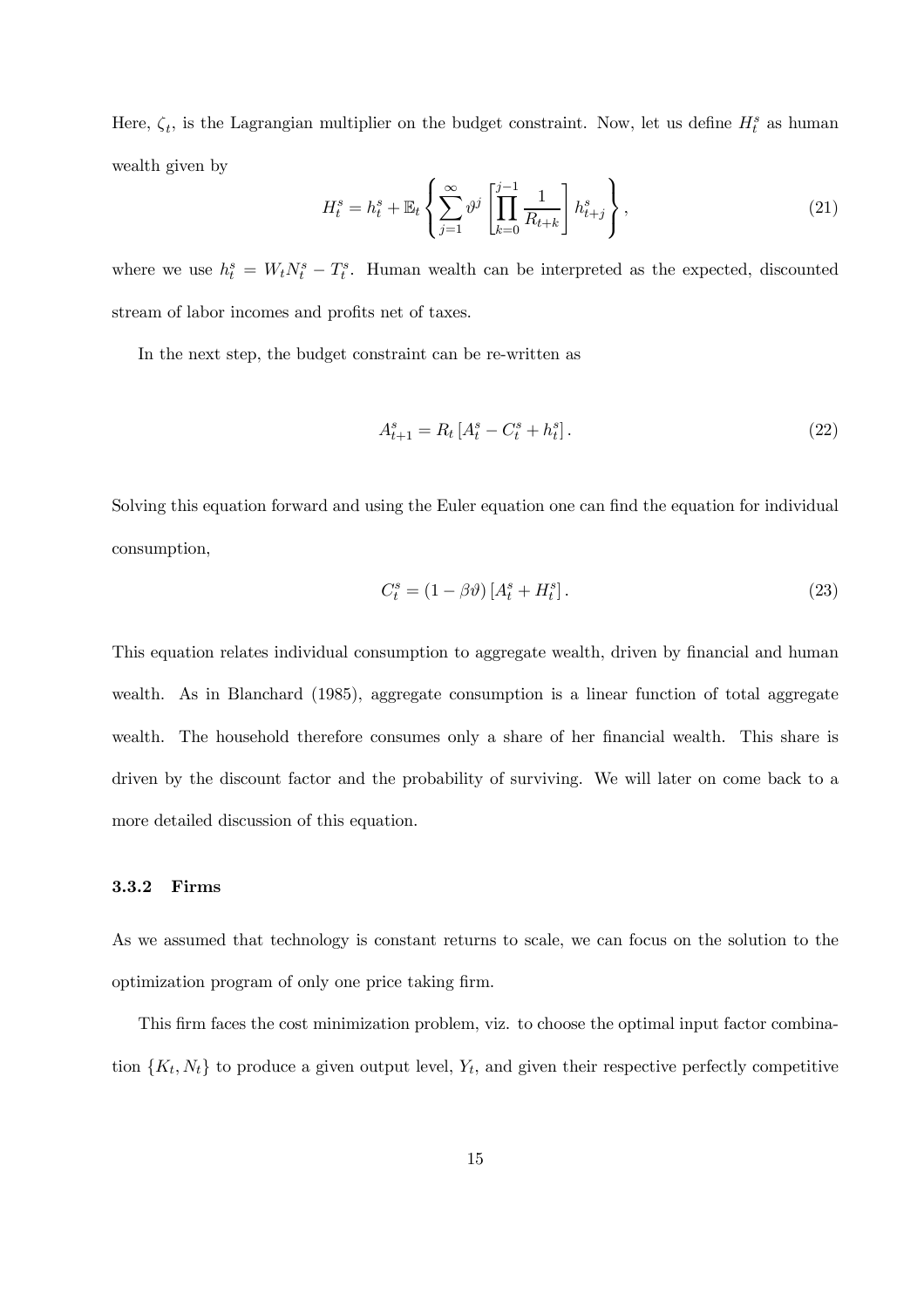Here,  $\zeta_t$ , is the Lagrangian multiplier on the budget constraint. Now, let us define  $H_t^s$  as human wealth given by  $\overline{1}$ 

$$
H_t^s = h_t^s + \mathbb{E}_t \left\{ \sum_{j=1}^{\infty} \vartheta^j \left[ \prod_{k=0}^{j-1} \frac{1}{R_{t+k}} \right] h_{t+j}^s \right\},\tag{21}
$$

where we use  $h_t^s = W_t N_t^s - T_t^s$ . Human wealth can be interpreted as the expected, discounted stream of labor incomes and profits net of taxes.

In the next step, the budget constraint can be re-written as

$$
A_{t+1}^s = R_t \left[ A_t^s - C_t^s + h_t^s \right]. \tag{22}
$$

Solving this equation forward and using the Euler equation one can find the equation for individual consumption,

$$
C_t^s = (1 - \beta \vartheta) \left[ A_t^s + H_t^s \right]. \tag{23}
$$

This equation relates individual consumption to aggregate wealth, driven by financial and human wealth. As in Blanchard (1985), aggregate consumption is a linear function of total aggregate wealth. The household therefore consumes only a share of her financial wealth. This share is driven by the discount factor and the probability of surviving. We will later on come back to a more detailed discussion of this equation.

#### 3.3.2 Firms

As we assumed that technology is constant returns to scale, we can focus on the solution to the optimization program of only one price taking firm.

This firm faces the cost minimization problem, viz. to choose the optimal input factor combination  $\{K_t, N_t\}$  to produce a given output level,  $Y_t$ , and given their respective perfectly competitive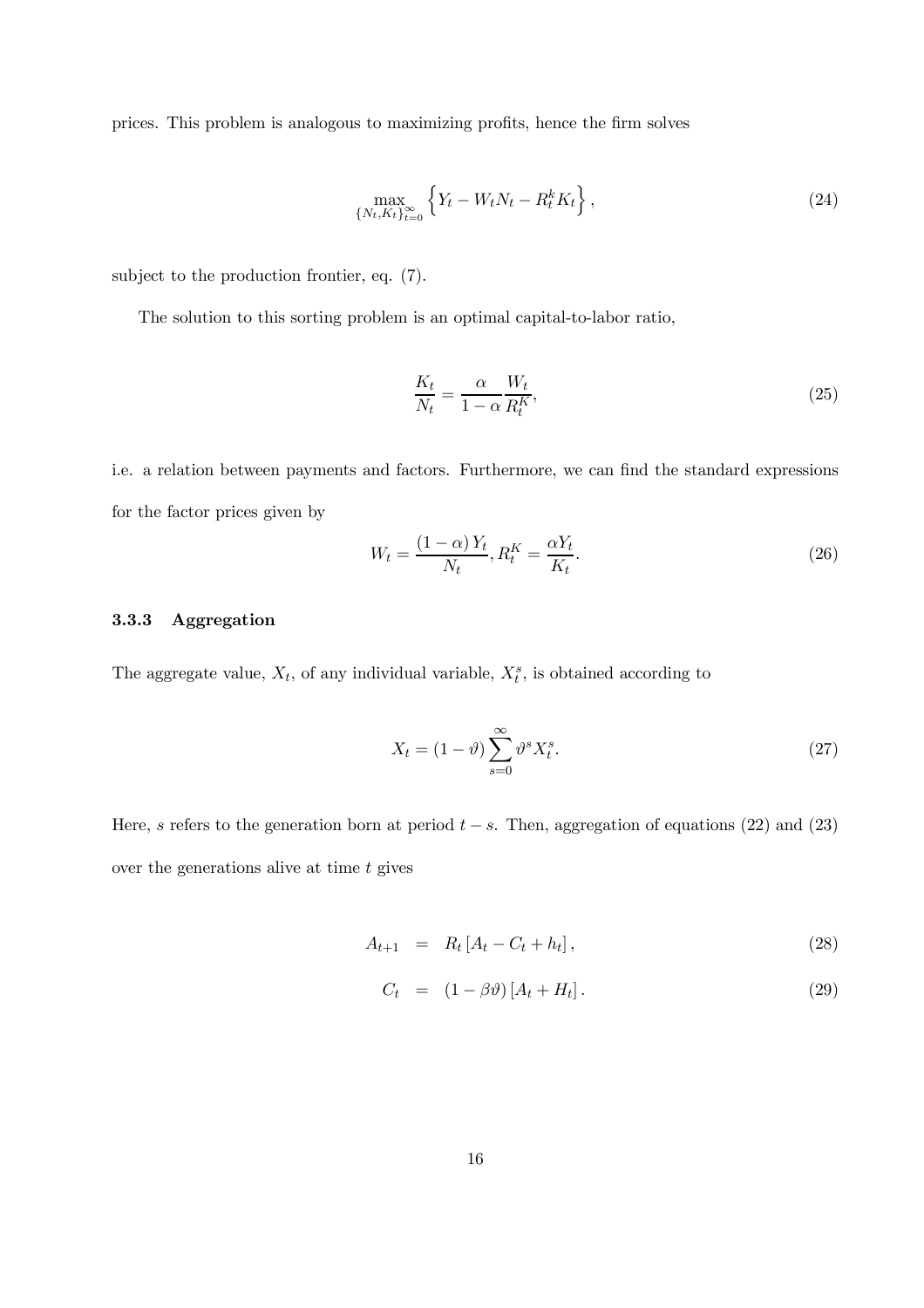prices. This problem is analogous to maximizing profits, hence the firm solves

$$
\max_{\{N_t, K_t\}_{t=0}^{\infty}} \left\{ Y_t - W_t N_t - R_t^k K_t \right\},
$$
\n(24)

subject to the production frontier, eq. (7).

The solution to this sorting problem is an optimal capital-to-labor ratio,

$$
\frac{K_t}{N_t} = \frac{\alpha}{1 - \alpha} \frac{W_t}{R_t^K},\tag{25}
$$

i.e. a relation between payments and factors. Furthermore, we can find the standard expressions for the factor prices given by

$$
W_t = \frac{\left(1 - \alpha\right) Y_t}{N_t}, R_t^K = \frac{\alpha Y_t}{K_t}.\tag{26}
$$

#### 3.3.3 Aggregation

The aggregate value,  $X_t$ , of any individual variable,  $X_t^s$ , is obtained according to

$$
X_t = (1 - \vartheta) \sum_{s=0}^{\infty} \vartheta^s X_t^s. \tag{27}
$$

Here, s refers to the generation born at period  $t - s$ . Then, aggregation of equations (22) and (23) over the generations alive at time  $t$  gives

$$
A_{t+1} = R_t [A_t - C_t + h_t], \qquad (28)
$$

$$
C_t = (1 - \beta \vartheta) [A_t + H_t]. \tag{29}
$$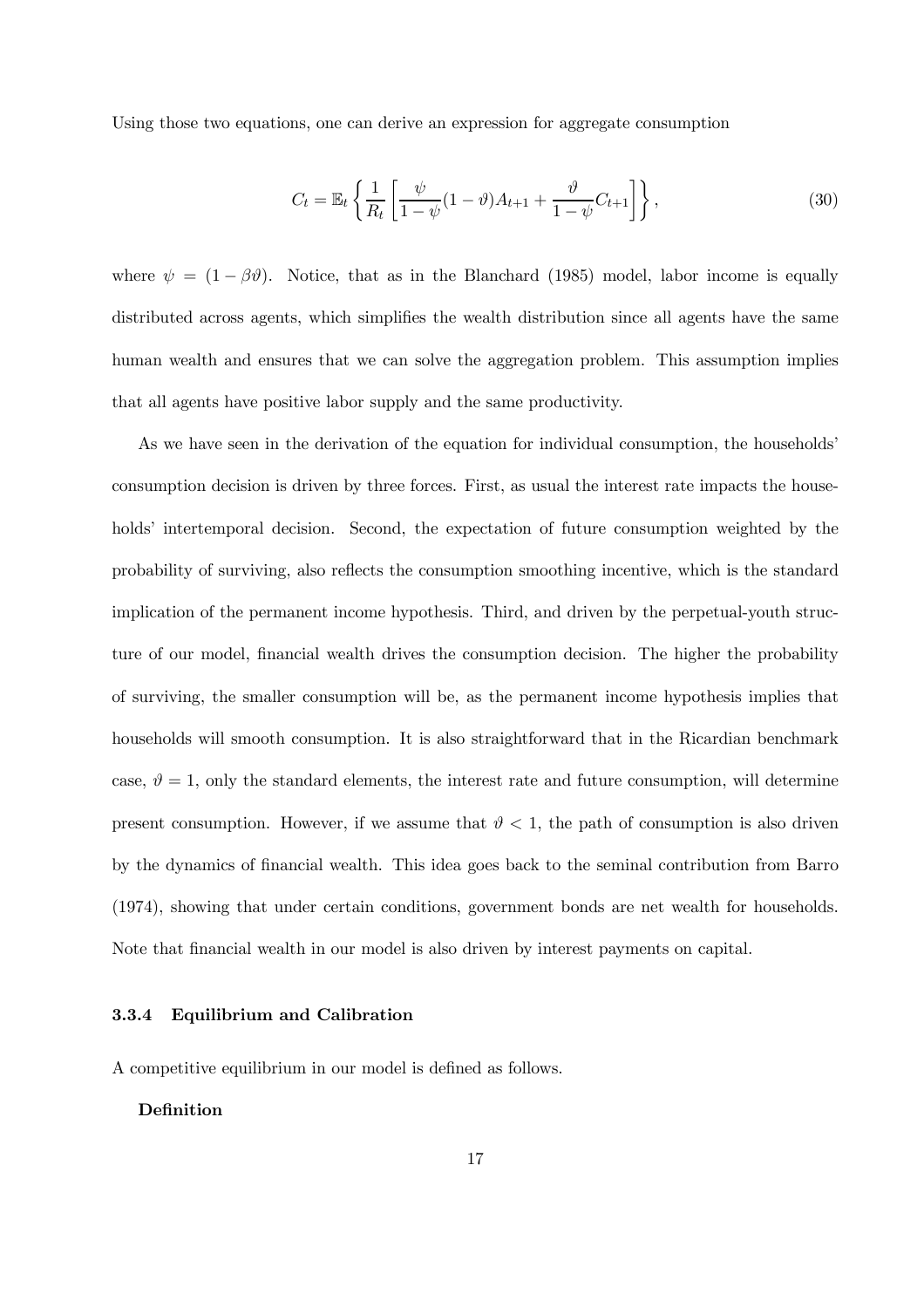Using those two equations, one can derive an expression for aggregate consumption

$$
C_t = \mathbb{E}_t \left\{ \frac{1}{R_t} \left[ \frac{\psi}{1 - \psi} (1 - \vartheta) A_{t+1} + \frac{\vartheta}{1 - \psi} C_{t+1} \right] \right\},\tag{30}
$$

where  $\psi = (1 - \beta \vartheta)$ . Notice, that as in the Blanchard (1985) model, labor income is equally distributed across agents, which simplifies the wealth distribution since all agents have the same human wealth and ensures that we can solve the aggregation problem. This assumption implies that all agents have positive labor supply and the same productivity.

As we have seen in the derivation of the equation for individual consumption, the households' consumption decision is driven by three forces. First, as usual the interest rate impacts the households' intertemporal decision. Second, the expectation of future consumption weighted by the probability of surviving, also reflects the consumption smoothing incentive, which is the standard implication of the permanent income hypothesis. Third, and driven by the perpetual-youth structure of our model, financial wealth drives the consumption decision. The higher the probability of surviving, the smaller consumption will be, as the permanent income hypothesis implies that households will smooth consumption. It is also straightforward that in the Ricardian benchmark case,  $\vartheta = 1$ , only the standard elements, the interest rate and future consumption, will determine present consumption. However, if we assume that  $\vartheta < 1$ , the path of consumption is also driven by the dynamics of financial wealth. This idea goes back to the seminal contribution from Barro (1974), showing that under certain conditions, government bonds are net wealth for households. Note that financial wealth in our model is also driven by interest payments on capital.

#### 3.3.4 Equilibrium and Calibration

A competitive equilibrium in our model is defined as follows.

#### Definition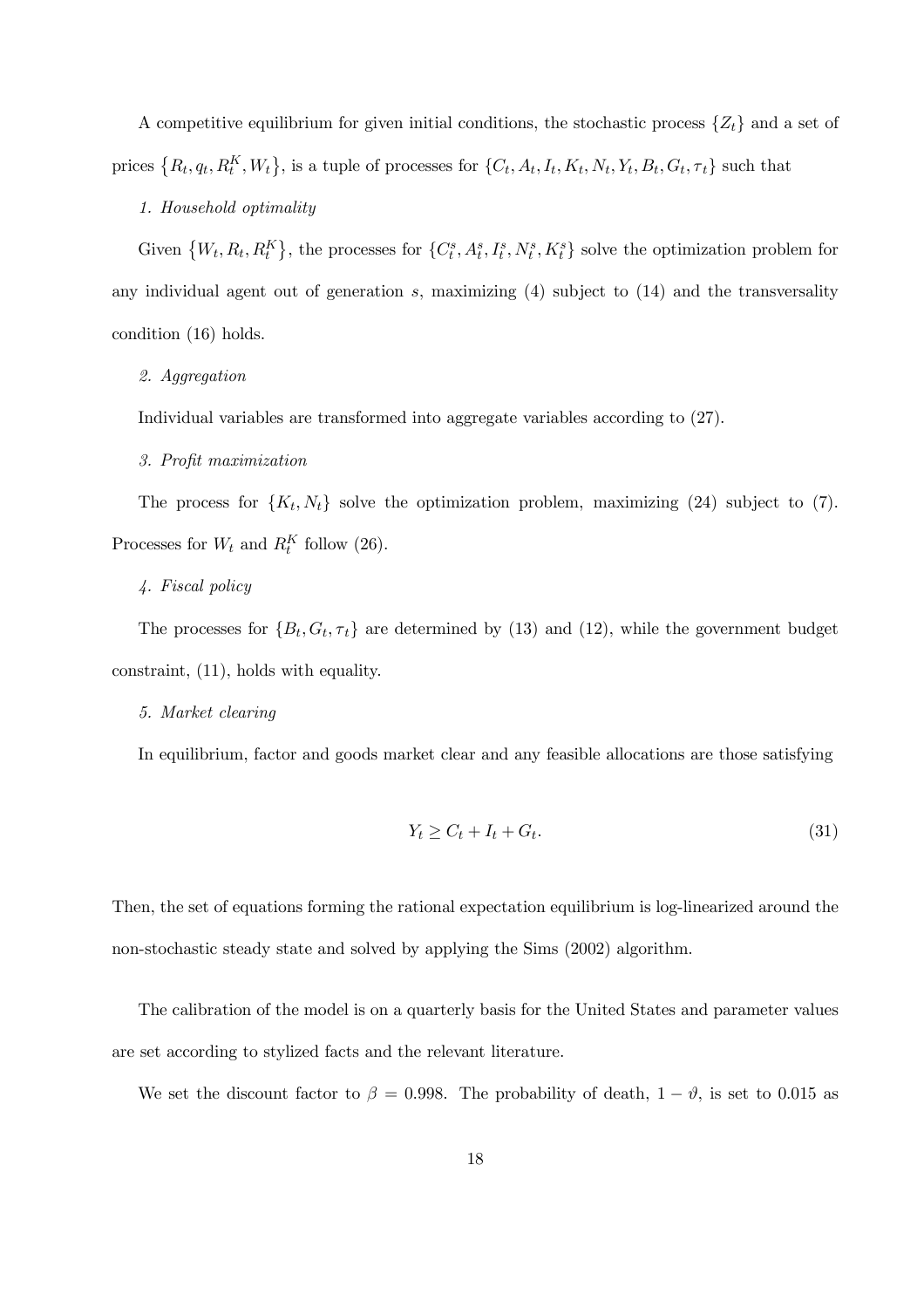A competitive equilibrium for given initial conditions, the stochastic process  $\{Z_t\}$  and a set of prices  $\{R_t, q_t, R_t^K, W_t\}$ , is a tuple of processes for  $\{C_t, A_t, I_t, K_t, N_t, Y_t, B_t, G_t, \tau_t\}$  such that

#### 1. Household optimality

Given  ${W_t, R_t, R_t^K}$ , the processes for  ${C_t^s, A_t^s, I_t^s, N_t^s, K_t^s}$  solve the optimization problem for any individual agent out of generation  $s$ , maximizing  $(4)$  subject to  $(14)$  and the transversality condition (16) holds.

#### 2. Aggregation

Individual variables are transformed into aggregate variables according to (27).

#### 3. Profit maximization

The process for  $\{K_t, N_t\}$  solve the optimization problem, maximizing (24) subject to (7). Processes for  $W_t$  and  $R_t^K$  follow (26).

#### 4. Fiscal policy

The processes for  ${B_t, G_t, \tau_t}$  are determined by (13) and (12), while the government budget constraint, (11), holds with equality.

#### 5. Market clearing

In equilibrium, factor and goods market clear and any feasible allocations are those satisfying

$$
Y_t \ge C_t + I_t + G_t. \tag{31}
$$

Then, the set of equations forming the rational expectation equilibrium is log-linearized around the non-stochastic steady state and solved by applying the Sims (2002) algorithm.

The calibration of the model is on a quarterly basis for the United States and parameter values are set according to stylized facts and the relevant literature.

We set the discount factor to  $\beta = 0.998$ . The probability of death,  $1 - \vartheta$ , is set to 0.015 as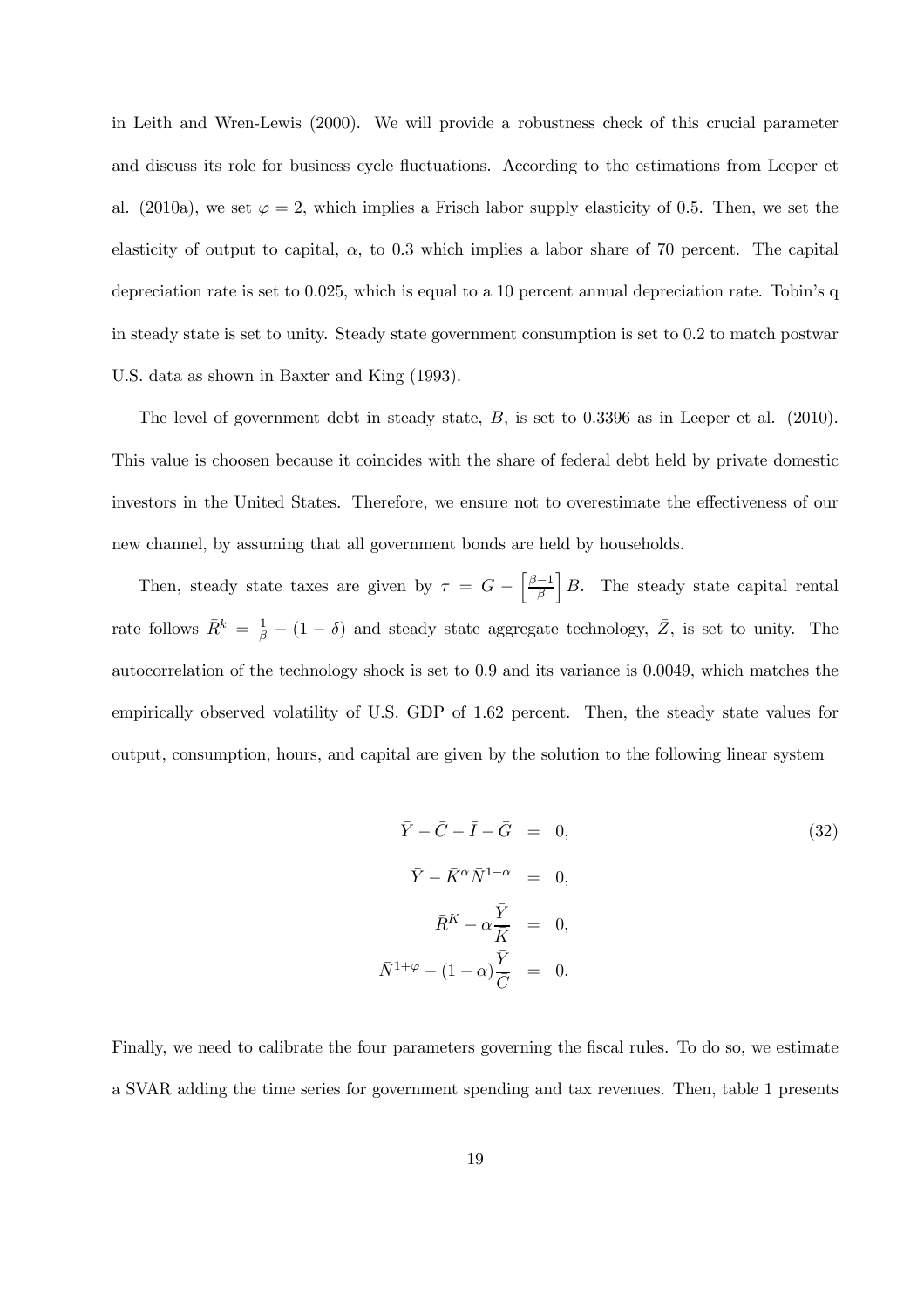in Leith and Wren-Lewis (2000). We will provide a robustness check of this crucial parameter and discuss its role for business cycle fluctuations. According to the estimations from Leeper et al. (2010a), we set  $\varphi = 2$ , which implies a Frisch labor supply elasticity of 0.5. Then, we set the elasticity of output to capital,  $\alpha$ , to 0.3 which implies a labor share of 70 percent. The capital depreciation rate is set to 0.025, which is equal to a 10 percent annual depreciation rate. Tobin's q in steady state is set to unity. Steady state government consumption is set to 0.2 to match postwar U.S. data as shown in Baxter and King (1993).

The level of government debt in steady state, B, is set to 0.3396 as in Leeper et al. (2010). This value is choosen because it coincides with the share of federal debt held by private domestic investors in the United States. Therefore, we ensure not to overestimate the effectiveness of our new channel, by assuming that all government bonds are held by households.

Then, steady state taxes are given by  $\tau = G - \left[\frac{\beta - 1}{\beta}\right]$ β  $B$ . The steady state capital rental rate follows  $\bar{R}^k = \frac{1}{\beta} - (1 - \delta)$  and steady state aggregate technology,  $\bar{Z}$ , is set to unity. The autocorrelation of the technology shock is set to 0.9 and its variance is 0.0049, which matches the empirically observed volatility of U.S. GDP of 1.62 percent. Then, the steady state values for output, consumption, hours, and capital are given by the solution to the following linear system

$$
\bar{Y} - \bar{C} - \bar{I} - \bar{G} = 0,
$$
\n
$$
\bar{Y} - \bar{K}^{\alpha} \bar{N}^{1-\alpha} = 0,
$$
\n
$$
\bar{R}^{K} - \alpha \frac{\bar{Y}}{\bar{K}} = 0,
$$
\n
$$
\bar{N}^{1+\varphi} - (1-\alpha) \frac{\bar{Y}}{\bar{C}} = 0.
$$
\n(32)

Finally, we need to calibrate the four parameters governing the fiscal rules. To do so, we estimate a SVAR adding the time series for government spending and tax revenues. Then, table 1 presents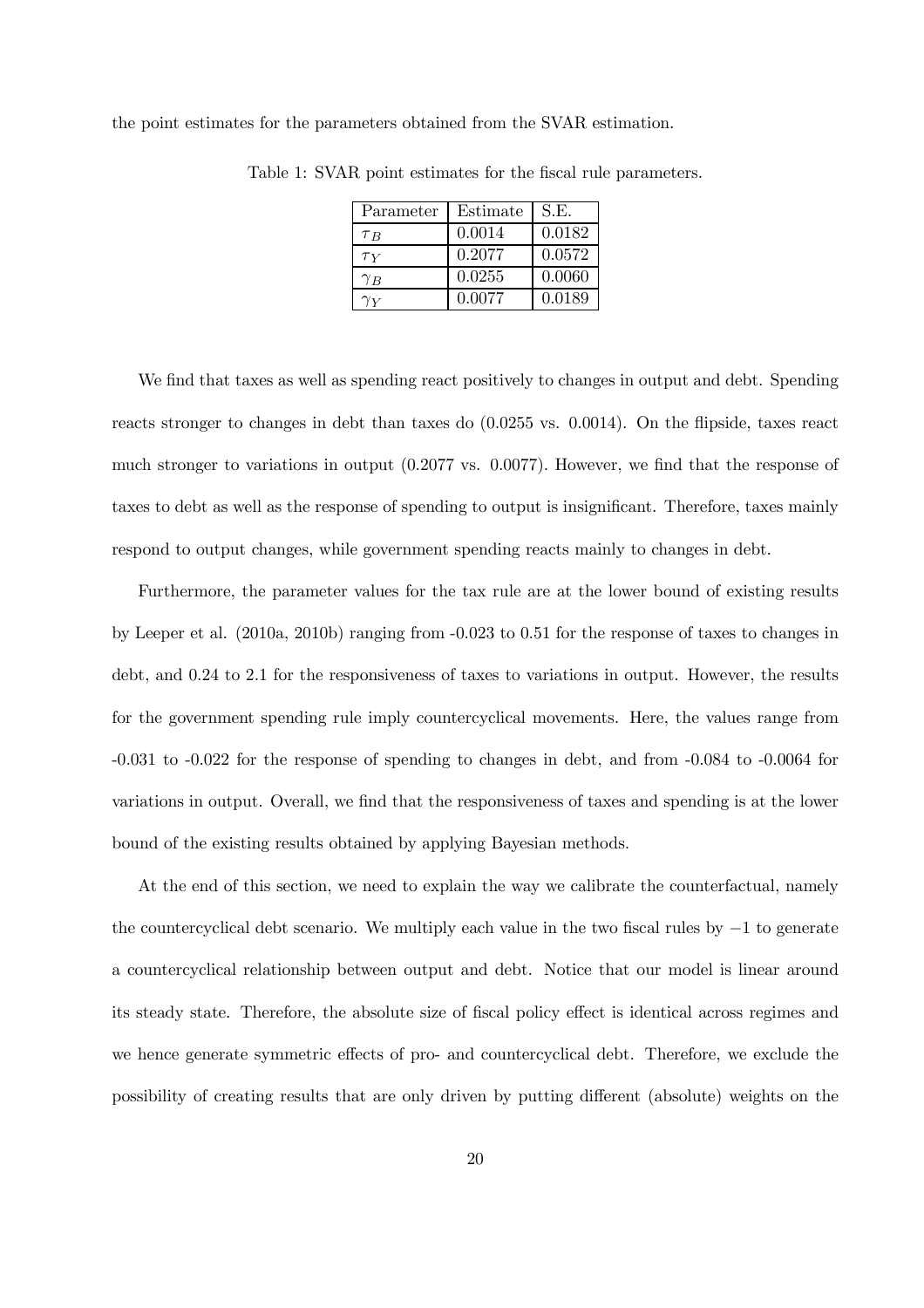the point estimates for the parameters obtained from the SVAR estimation.

| Parameter  | Estimate | S.E.   |
|------------|----------|--------|
| $\tau_B$   | 0.0014   | 0.0182 |
| $\tau_Y$   | 0.2077   | 0.0572 |
| $\gamma_B$ | 0.0255   | 0.0060 |
|            | 0.0077   | 0.0189 |

Table 1: SVAR point estimates for the fiscal rule parameters.

We find that taxes as well as spending react positively to changes in output and debt. Spending reacts stronger to changes in debt than taxes do (0.0255 vs. 0.0014). On the flipside, taxes react much stronger to variations in output (0.2077 vs. 0.0077). However, we find that the response of taxes to debt as well as the response of spending to output is insignificant. Therefore, taxes mainly respond to output changes, while government spending reacts mainly to changes in debt.

Furthermore, the parameter values for the tax rule are at the lower bound of existing results by Leeper et al. (2010a, 2010b) ranging from -0.023 to 0.51 for the response of taxes to changes in debt, and 0.24 to 2.1 for the responsiveness of taxes to variations in output. However, the results for the government spending rule imply countercyclical movements. Here, the values range from -0.031 to -0.022 for the response of spending to changes in debt, and from -0.084 to -0.0064 for variations in output. Overall, we find that the responsiveness of taxes and spending is at the lower bound of the existing results obtained by applying Bayesian methods.

At the end of this section, we need to explain the way we calibrate the counterfactual, namely the countercyclical debt scenario. We multiply each value in the two fiscal rules by −1 to generate a countercyclical relationship between output and debt. Notice that our model is linear around its steady state. Therefore, the absolute size of fiscal policy effect is identical across regimes and we hence generate symmetric effects of pro- and countercyclical debt. Therefore, we exclude the possibility of creating results that are only driven by putting different (absolute) weights on the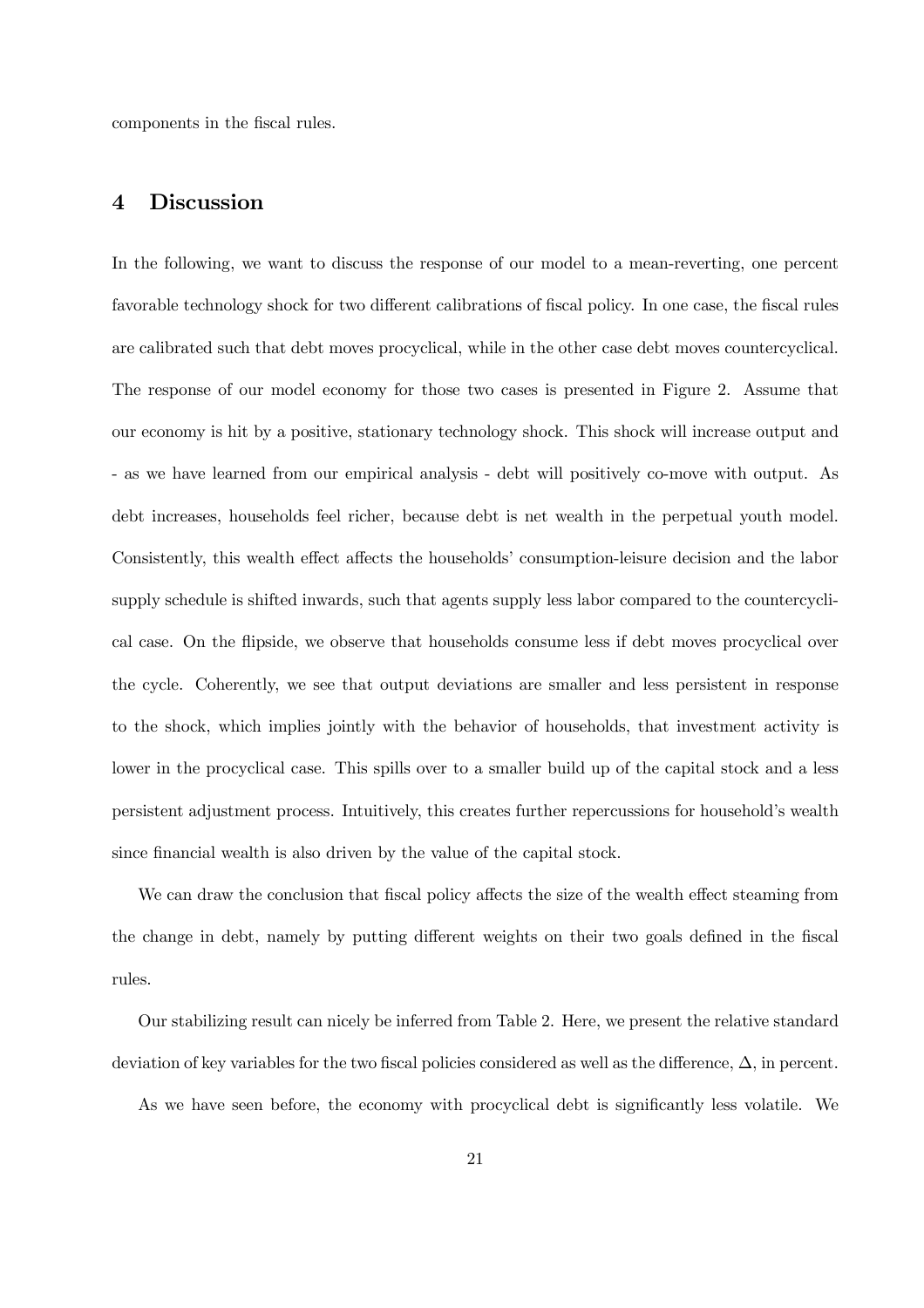components in the fiscal rules.

# 4 Discussion

In the following, we want to discuss the response of our model to a mean-reverting, one percent favorable technology shock for two different calibrations of fiscal policy. In one case, the fiscal rules are calibrated such that debt moves procyclical, while in the other case debt moves countercyclical. The response of our model economy for those two cases is presented in Figure 2. Assume that our economy is hit by a positive, stationary technology shock. This shock will increase output and - as we have learned from our empirical analysis - debt will positively co-move with output. As debt increases, households feel richer, because debt is net wealth in the perpetual youth model. Consistently, this wealth effect affects the households' consumption-leisure decision and the labor supply schedule is shifted inwards, such that agents supply less labor compared to the countercyclical case. On the flipside, we observe that households consume less if debt moves procyclical over the cycle. Coherently, we see that output deviations are smaller and less persistent in response to the shock, which implies jointly with the behavior of households, that investment activity is lower in the procyclical case. This spills over to a smaller build up of the capital stock and a less persistent adjustment process. Intuitively, this creates further repercussions for household's wealth since financial wealth is also driven by the value of the capital stock.

We can draw the conclusion that fiscal policy affects the size of the wealth effect steaming from the change in debt, namely by putting different weights on their two goals defined in the fiscal rules.

Our stabilizing result can nicely be inferred from Table 2. Here, we present the relative standard deviation of key variables for the two fiscal policies considered as well as the difference,  $\Delta$ , in percent.

As we have seen before, the economy with procyclical debt is significantly less volatile. We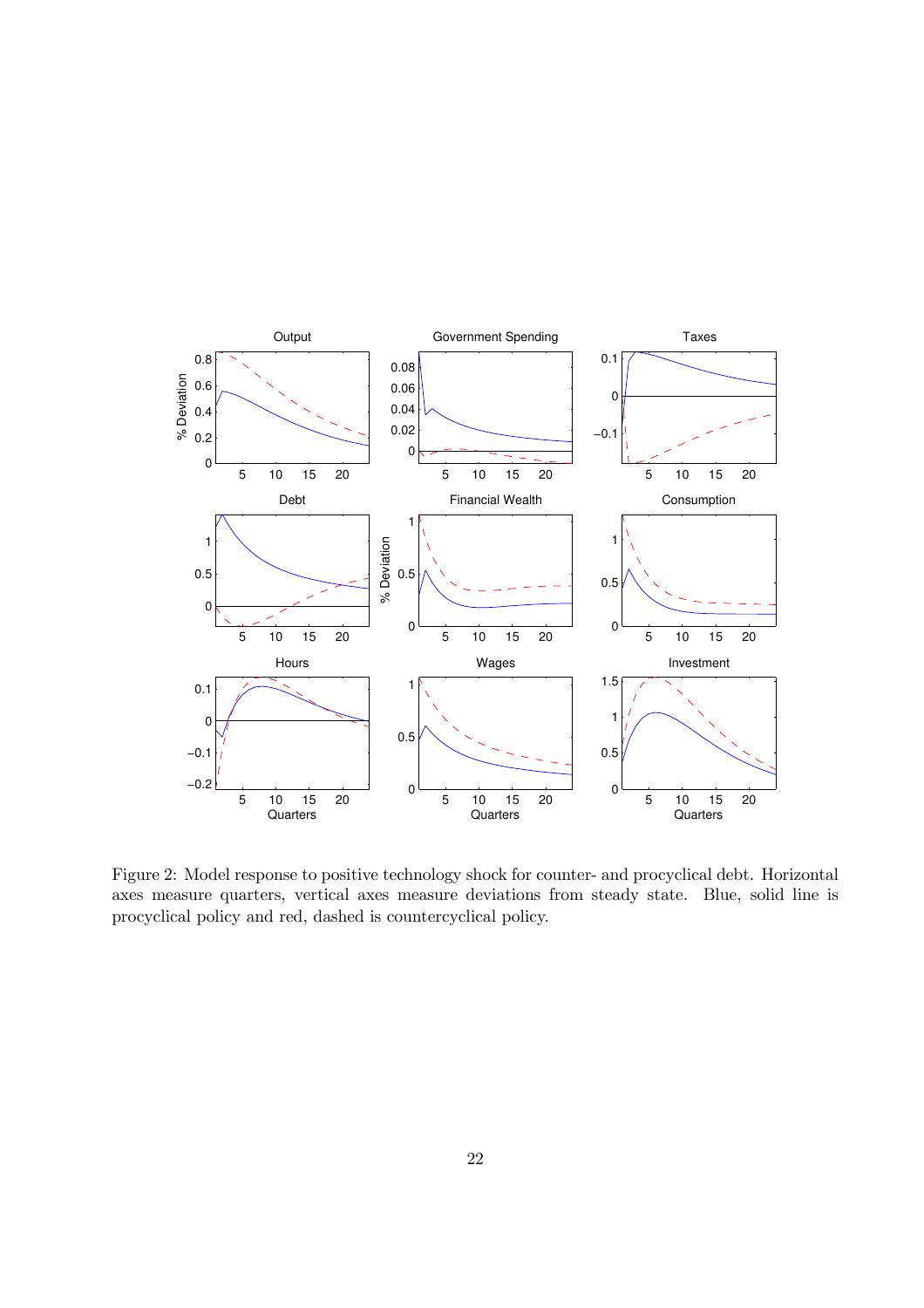

Figure 2: Model response to positive technology shock for counter- and procyclical debt. Horizontal axes measure quarters, vertical axes measure deviations from steady state. Blue, solid line is procyclical policy and red, dashed is countercyclical policy.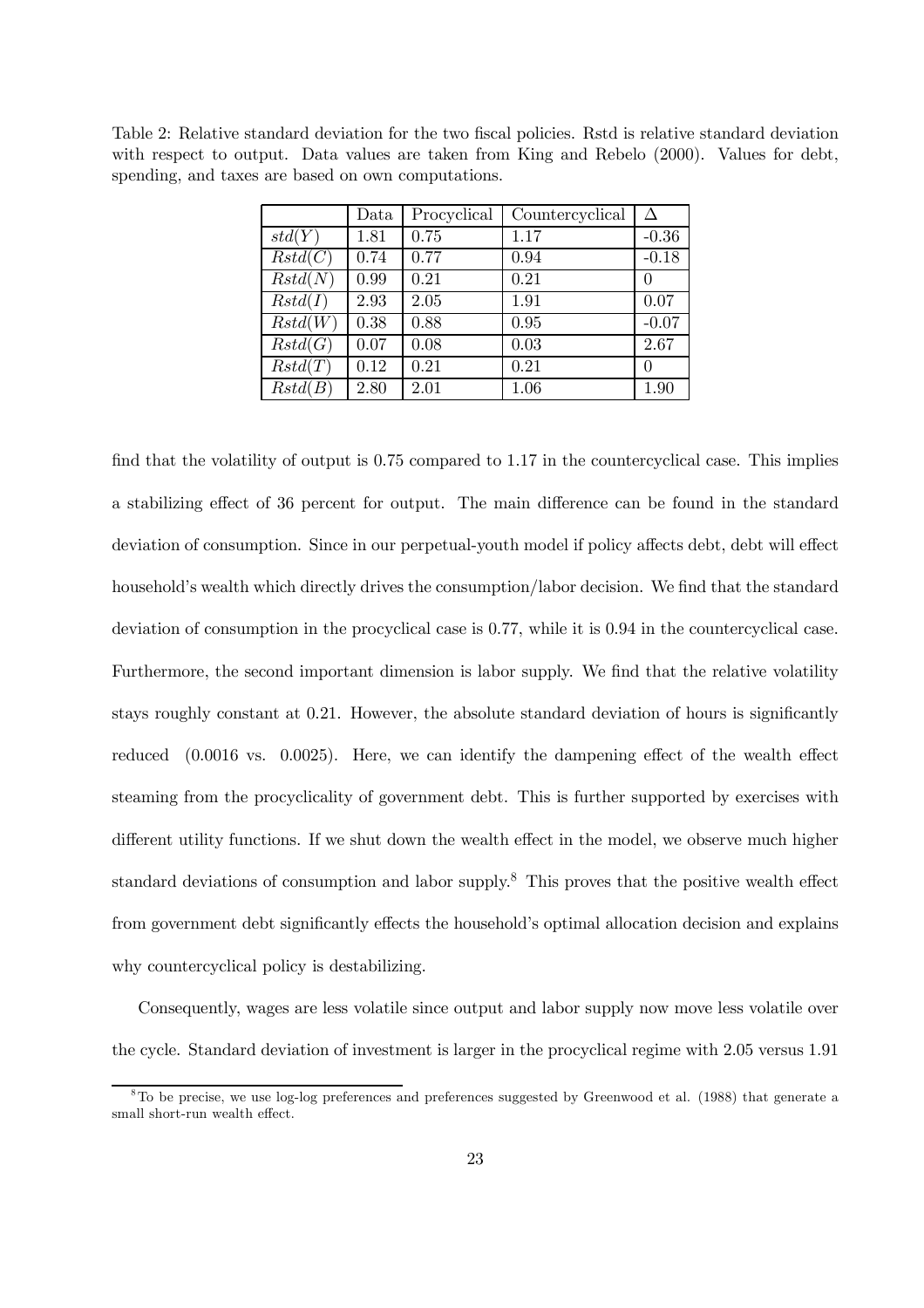| Table 2: Relative standard deviation for the two fiscal policies. Rstd is relative standard deviation |  |  |  |  |  |  |  |
|-------------------------------------------------------------------------------------------------------|--|--|--|--|--|--|--|
| with respect to output. Data values are taken from King and Rebelo (2000). Values for debt,           |  |  |  |  |  |  |  |
| spending, and taxes are based on own computations.                                                    |  |  |  |  |  |  |  |

|         | Data     | Procyclical | Countercyclical | Δ                |
|---------|----------|-------------|-----------------|------------------|
| std(Y)  | 1.81     | 0.75        | 1.17            | $-0.36$          |
| Rstd(C) | 0.74     | 0.77        | 0.94            | $-0.18$          |
| Rstd(N) | 0.99     | 0.21        | 0.21            | $\left( \right)$ |
| Rstd(I) | 2.93     | 2.05        | 1.91            | 0.07             |
| Rstd(W) | 0.38     | 0.88        | 0.95            | $-0.07$          |
| Rstd(G) | 0.07     | 0.08        | 0.03            | 2.67             |
| Rstd(T) | 0.12     | 0.21        | 0.21            | 0                |
| Rstd(B) | $2.80\,$ | 2.01        | 1.06            | 1.90             |

find that the volatility of output is 0.75 compared to 1.17 in the countercyclical case. This implies a stabilizing effect of 36 percent for output. The main difference can be found in the standard deviation of consumption. Since in our perpetual-youth model if policy affects debt, debt will effect household's wealth which directly drives the consumption/labor decision. We find that the standard deviation of consumption in the procyclical case is 0.77, while it is 0.94 in the countercyclical case. Furthermore, the second important dimension is labor supply. We find that the relative volatility stays roughly constant at 0.21. However, the absolute standard deviation of hours is significantly reduced (0.0016 vs. 0.0025). Here, we can identify the dampening effect of the wealth effect steaming from the procyclicality of government debt. This is further supported by exercises with different utility functions. If we shut down the wealth effect in the model, we observe much higher standard deviations of consumption and labor supply.<sup>8</sup> This proves that the positive wealth effect from government debt significantly effects the household's optimal allocation decision and explains why countercyclical policy is destabilizing.

Consequently, wages are less volatile since output and labor supply now move less volatile over the cycle. Standard deviation of investment is larger in the procyclical regime with 2.05 versus 1.91

<sup>8</sup>To be precise, we use log-log preferences and preferences suggested by Greenwood et al. (1988) that generate a small short-run wealth effect.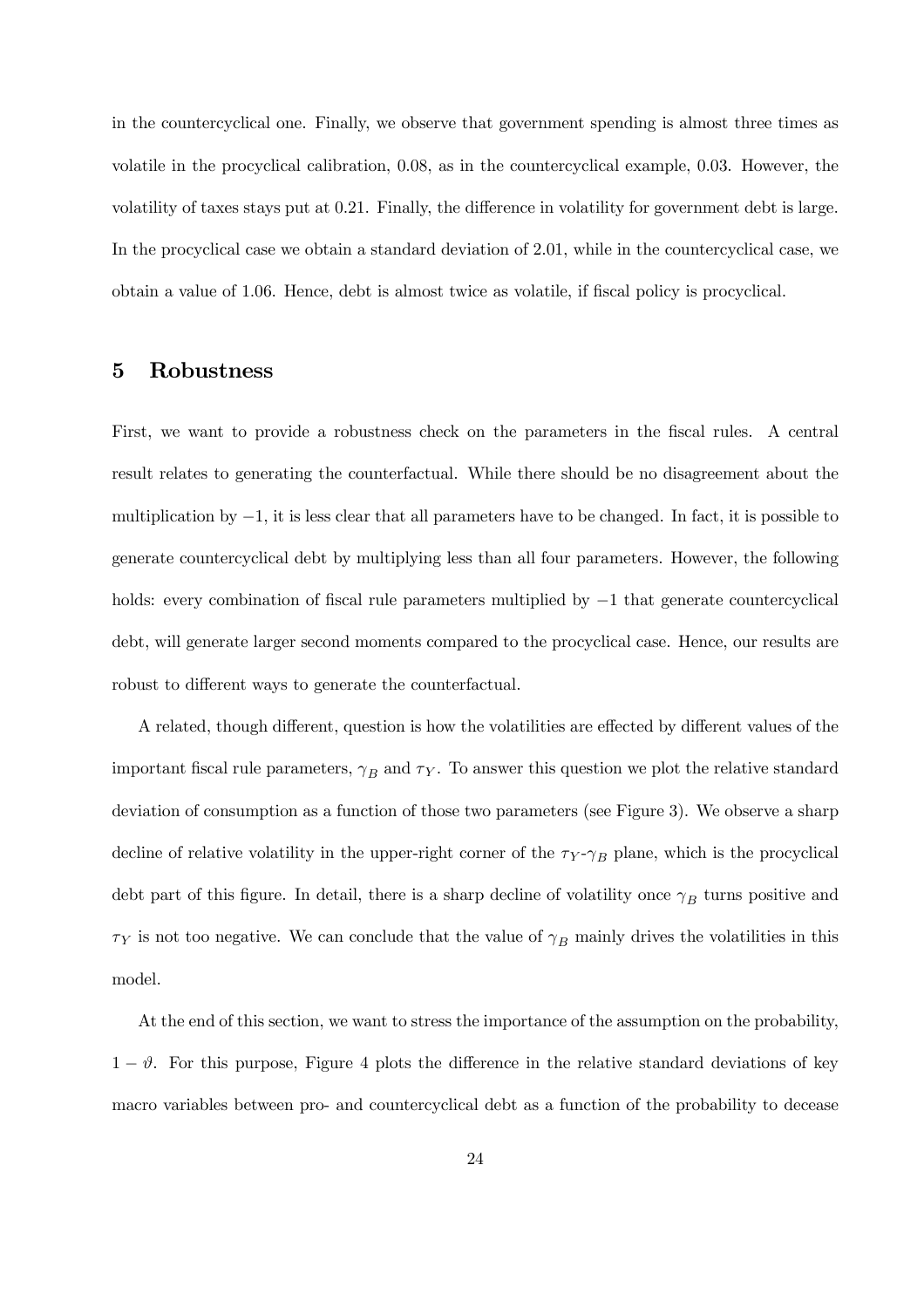in the countercyclical one. Finally, we observe that government spending is almost three times as volatile in the procyclical calibration, 0.08, as in the countercyclical example, 0.03. However, the volatility of taxes stays put at 0.21. Finally, the difference in volatility for government debt is large. In the procyclical case we obtain a standard deviation of 2.01, while in the countercyclical case, we obtain a value of 1.06. Hence, debt is almost twice as volatile, if fiscal policy is procyclical.

### 5 Robustness

First, we want to provide a robustness check on the parameters in the fiscal rules. A central result relates to generating the counterfactual. While there should be no disagreement about the multiplication by  $-1$ , it is less clear that all parameters have to be changed. In fact, it is possible to generate countercyclical debt by multiplying less than all four parameters. However, the following holds: every combination of fiscal rule parameters multiplied by −1 that generate countercyclical debt, will generate larger second moments compared to the procyclical case. Hence, our results are robust to different ways to generate the counterfactual.

A related, though different, question is how the volatilities are effected by different values of the important fiscal rule parameters,  $\gamma_B$  and  $\tau_Y$ . To answer this question we plot the relative standard deviation of consumption as a function of those two parameters (see Figure 3). We observe a sharp decline of relative volatility in the upper-right corner of the  $\tau_Y \gamma_B$  plane, which is the procyclical debt part of this figure. In detail, there is a sharp decline of volatility once  $\gamma_B$  turns positive and  $\tau_Y$  is not too negative. We can conclude that the value of  $\gamma_B$  mainly drives the volatilities in this model.

At the end of this section, we want to stress the importance of the assumption on the probability,  $1 - \vartheta$ . For this purpose, Figure 4 plots the difference in the relative standard deviations of key macro variables between pro- and countercyclical debt as a function of the probability to decease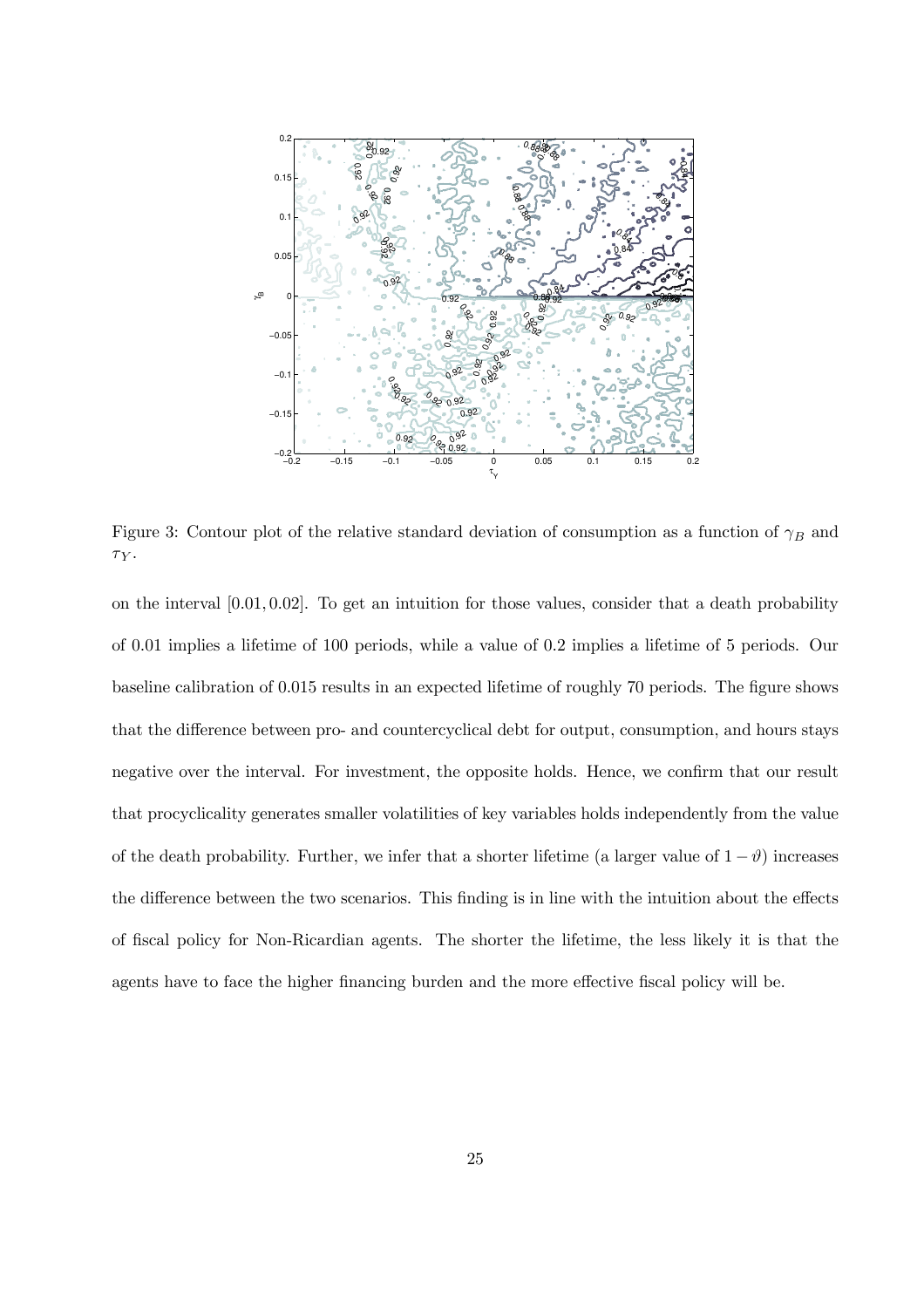

Figure 3: Contour plot of the relative standard deviation of consumption as a function of  $\gamma_B$  and  $\tau_Y$ .

on the interval [0.01, 0.02]. To get an intuition for those values, consider that a death probability of 0.01 implies a lifetime of 100 periods, while a value of 0.2 implies a lifetime of 5 periods. Our baseline calibration of 0.015 results in an expected lifetime of roughly 70 periods. The figure shows that the difference between pro- and countercyclical debt for output, consumption, and hours stays negative over the interval. For investment, the opposite holds. Hence, we confirm that our result that procyclicality generates smaller volatilities of key variables holds independently from the value of the death probability. Further, we infer that a shorter lifetime (a larger value of  $1 - \vartheta$ ) increases the difference between the two scenarios. This finding is in line with the intuition about the effects of fiscal policy for Non-Ricardian agents. The shorter the lifetime, the less likely it is that the agents have to face the higher financing burden and the more effective fiscal policy will be.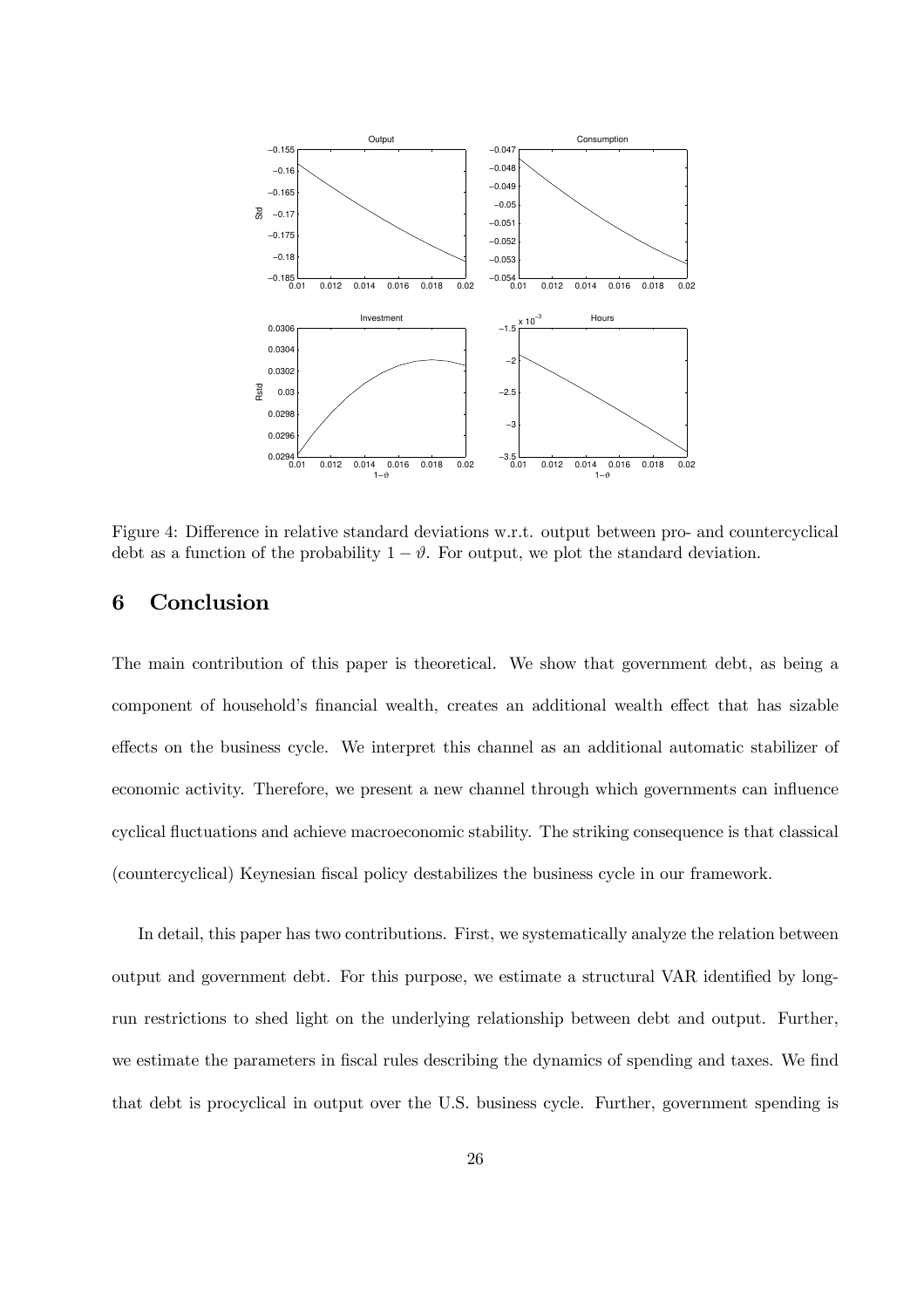

Figure 4: Difference in relative standard deviations w.r.t. output between pro- and countercyclical debt as a function of the probability  $1 - \vartheta$ . For output, we plot the standard deviation.

# 6 Conclusion

The main contribution of this paper is theoretical. We show that government debt, as being a component of household's financial wealth, creates an additional wealth effect that has sizable effects on the business cycle. We interpret this channel as an additional automatic stabilizer of economic activity. Therefore, we present a new channel through which governments can influence cyclical fluctuations and achieve macroeconomic stability. The striking consequence is that classical (countercyclical) Keynesian fiscal policy destabilizes the business cycle in our framework.

In detail, this paper has two contributions. First, we systematically analyze the relation between output and government debt. For this purpose, we estimate a structural VAR identified by longrun restrictions to shed light on the underlying relationship between debt and output. Further, we estimate the parameters in fiscal rules describing the dynamics of spending and taxes. We find that debt is procyclical in output over the U.S. business cycle. Further, government spending is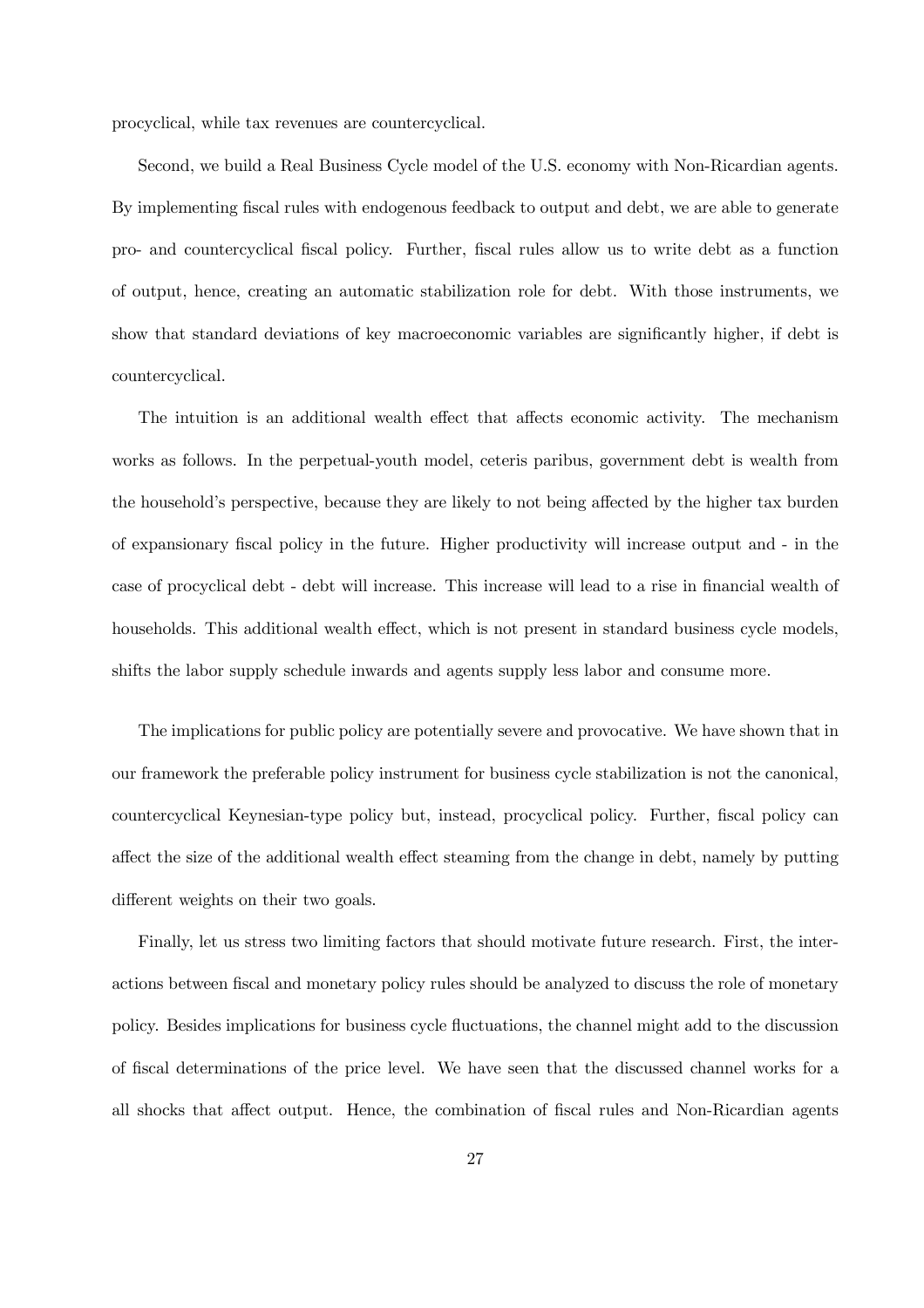procyclical, while tax revenues are countercyclical.

Second, we build a Real Business Cycle model of the U.S. economy with Non-Ricardian agents. By implementing fiscal rules with endogenous feedback to output and debt, we are able to generate pro- and countercyclical fiscal policy. Further, fiscal rules allow us to write debt as a function of output, hence, creating an automatic stabilization role for debt. With those instruments, we show that standard deviations of key macroeconomic variables are significantly higher, if debt is countercyclical.

The intuition is an additional wealth effect that affects economic activity. The mechanism works as follows. In the perpetual-youth model, ceteris paribus, government debt is wealth from the household's perspective, because they are likely to not being affected by the higher tax burden of expansionary fiscal policy in the future. Higher productivity will increase output and - in the case of procyclical debt - debt will increase. This increase will lead to a rise in financial wealth of households. This additional wealth effect, which is not present in standard business cycle models, shifts the labor supply schedule inwards and agents supply less labor and consume more.

The implications for public policy are potentially severe and provocative. We have shown that in our framework the preferable policy instrument for business cycle stabilization is not the canonical, countercyclical Keynesian-type policy but, instead, procyclical policy. Further, fiscal policy can affect the size of the additional wealth effect steaming from the change in debt, namely by putting different weights on their two goals.

Finally, let us stress two limiting factors that should motivate future research. First, the interactions between fiscal and monetary policy rules should be analyzed to discuss the role of monetary policy. Besides implications for business cycle fluctuations, the channel might add to the discussion of fiscal determinations of the price level. We have seen that the discussed channel works for a all shocks that affect output. Hence, the combination of fiscal rules and Non-Ricardian agents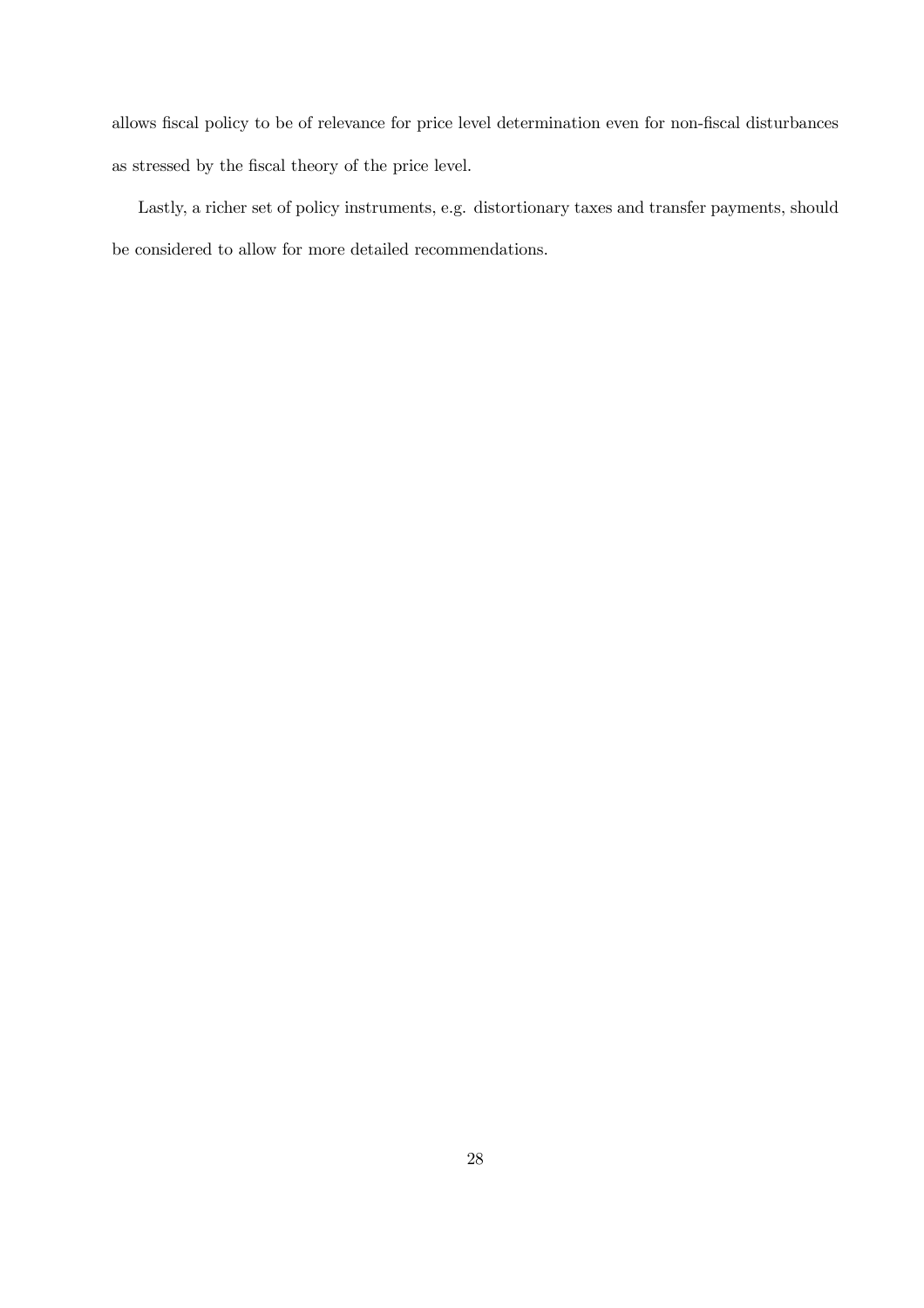allows fiscal policy to be of relevance for price level determination even for non-fiscal disturbances as stressed by the fiscal theory of the price level.

Lastly, a richer set of policy instruments, e.g. distortionary taxes and transfer payments, should be considered to allow for more detailed recommendations.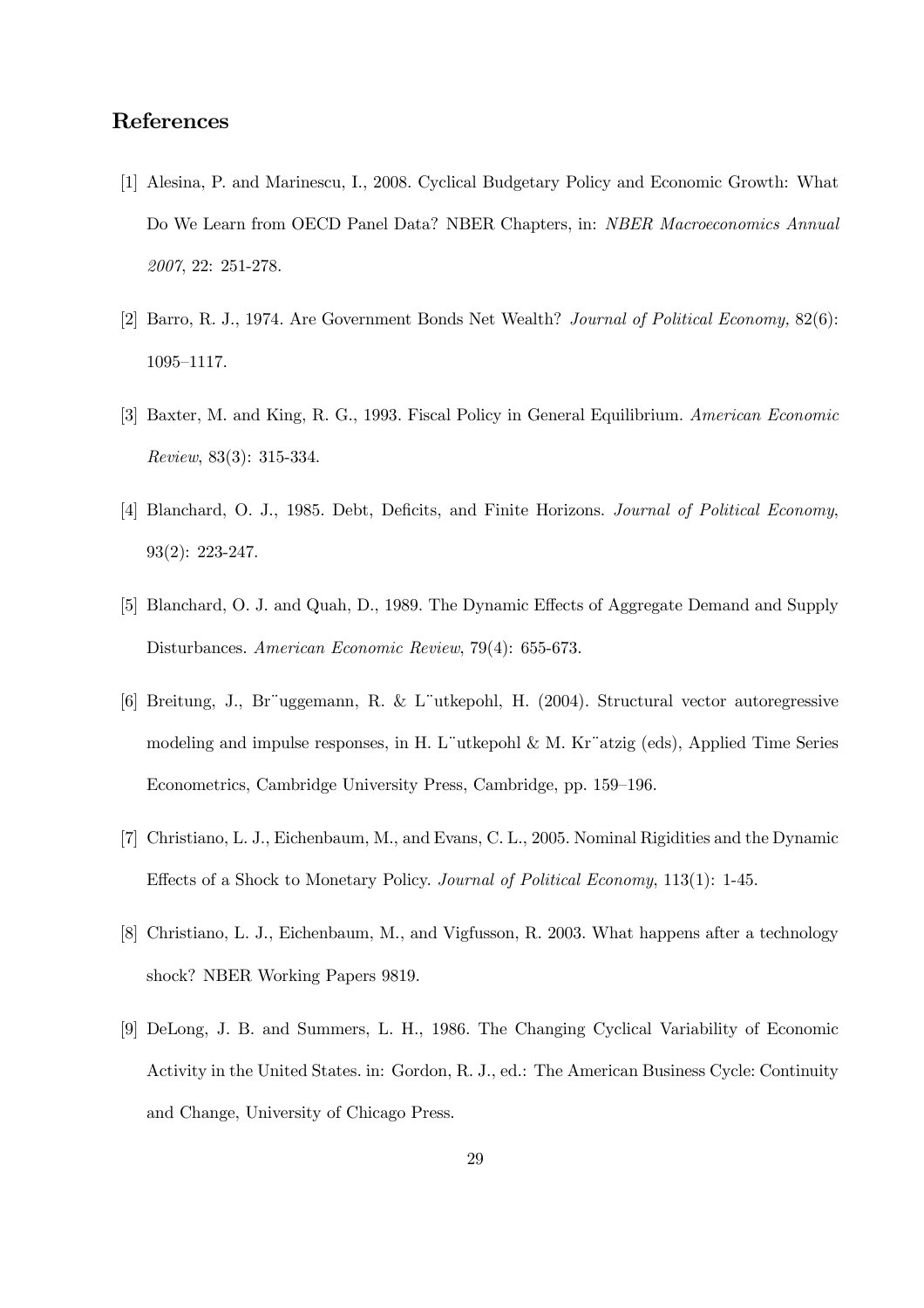# References

- [1] Alesina, P. and Marinescu, I., 2008. Cyclical Budgetary Policy and Economic Growth: What Do We Learn from OECD Panel Data? NBER Chapters, in: NBER Macroeconomics Annual 2007, 22: 251-278.
- [2] Barro, R. J., 1974. Are Government Bonds Net Wealth? Journal of Political Economy, 82(6): 1095—1117.
- [3] Baxter, M. and King, R. G., 1993. Fiscal Policy in General Equilibrium. American Economic Review, 83(3): 315-334.
- [4] Blanchard, O. J., 1985. Debt, Deficits, and Finite Horizons. Journal of Political Economy, 93(2): 223-247.
- [5] Blanchard, O. J. and Quah, D., 1989. The Dynamic Effects of Aggregate Demand and Supply Disturbances. American Economic Review, 79(4): 655-673.
- [6] Breitung, J., Br¨uggemann, R. & L¨utkepohl, H. (2004). Structural vector autoregressive modeling and impulse responses, in H. L¨utkepohl & M. Kr¨atzig (eds), Applied Time Series Econometrics, Cambridge University Press, Cambridge, pp. 159—196.
- [7] Christiano, L. J., Eichenbaum, M., and Evans, C. L., 2005. Nominal Rigidities and the Dynamic Effects of a Shock to Monetary Policy. Journal of Political Economy, 113(1): 1-45.
- [8] Christiano, L. J., Eichenbaum, M., and Vigfusson, R. 2003. What happens after a technology shock? NBER Working Papers 9819.
- [9] DeLong, J. B. and Summers, L. H., 1986. The Changing Cyclical Variability of Economic Activity in the United States. in: Gordon, R. J., ed.: The American Business Cycle: Continuity and Change, University of Chicago Press.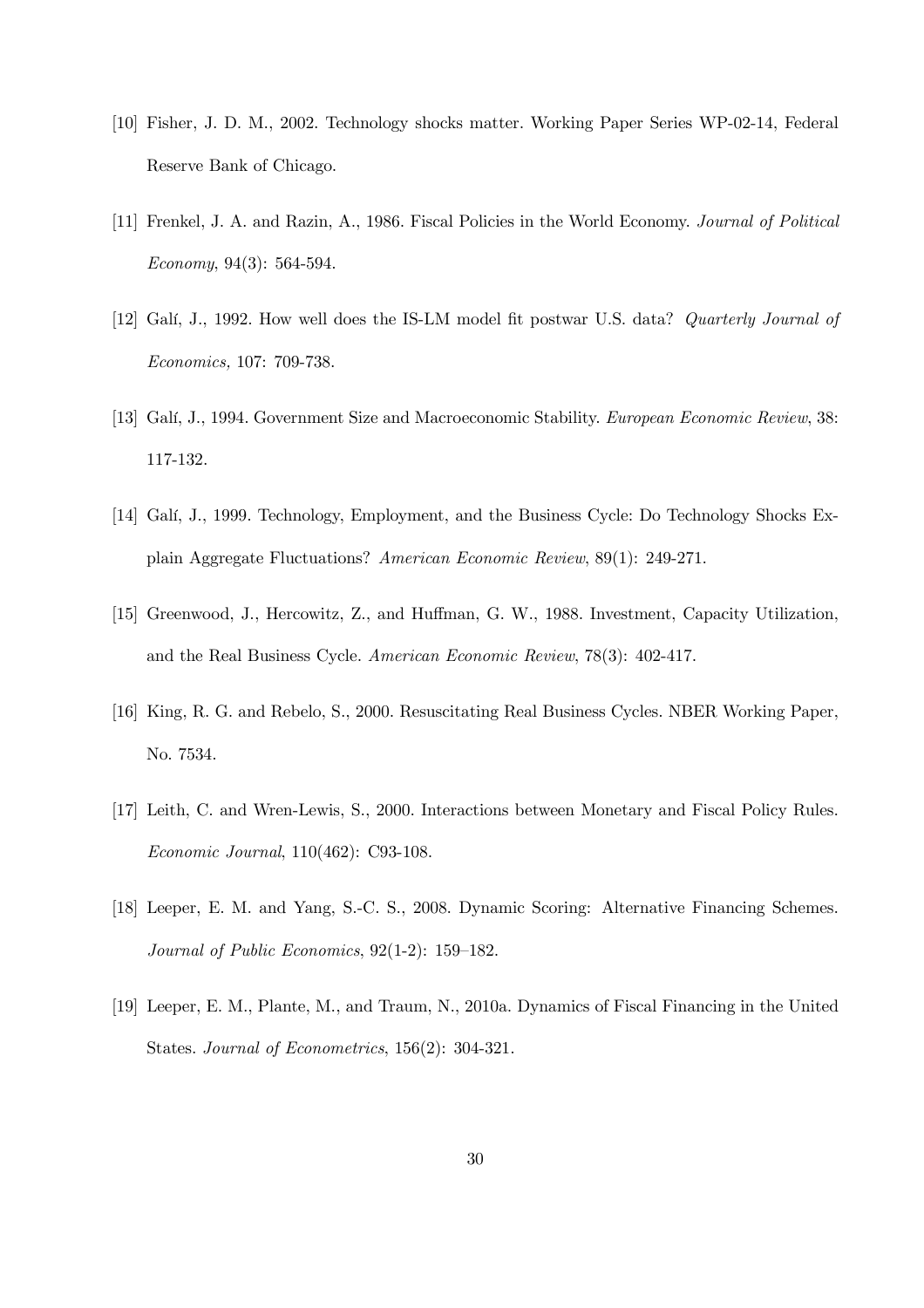- [10] Fisher, J. D. M., 2002. Technology shocks matter. Working Paper Series WP-02-14, Federal Reserve Bank of Chicago.
- [11] Frenkel, J. A. and Razin, A., 1986. Fiscal Policies in the World Economy. Journal of Political Economy, 94(3): 564-594.
- [12] Galí, J., 1992. How well does the IS-LM model fit postwar U.S. data? *Quarterly Journal of* Economics, 107: 709-738.
- [13] Galí, J., 1994. Government Size and Macroeconomic Stability. European Economic Review, 38: 117-132.
- [14] Galí, J., 1999. Technology, Employment, and the Business Cycle: Do Technology Shocks Explain Aggregate Fluctuations? American Economic Review, 89(1): 249-271.
- [15] Greenwood, J., Hercowitz, Z., and Huffman, G. W., 1988. Investment, Capacity Utilization, and the Real Business Cycle. American Economic Review, 78(3): 402-417.
- [16] King, R. G. and Rebelo, S., 2000. Resuscitating Real Business Cycles. NBER Working Paper, No. 7534.
- [17] Leith, C. and Wren-Lewis, S., 2000. Interactions between Monetary and Fiscal Policy Rules. Economic Journal, 110(462): C93-108.
- [18] Leeper, E. M. and Yang, S.-C. S., 2008. Dynamic Scoring: Alternative Financing Schemes. Journal of Public Economics, 92(1-2): 159—182.
- [19] Leeper, E. M., Plante, M., and Traum, N., 2010a. Dynamics of Fiscal Financing in the United States. Journal of Econometrics, 156(2): 304-321.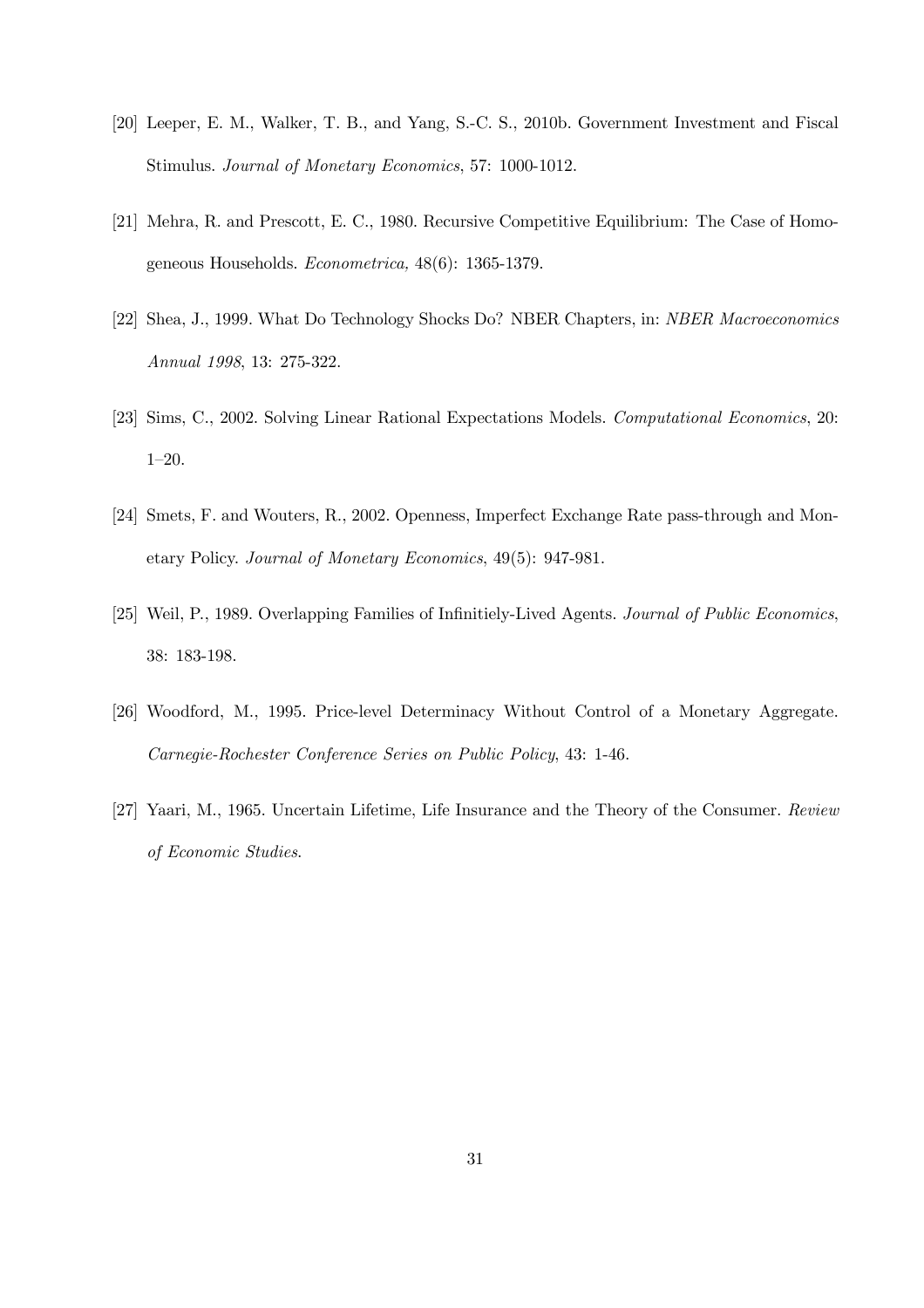- [20] Leeper, E. M., Walker, T. B., and Yang, S.-C. S., 2010b. Government Investment and Fiscal Stimulus. Journal of Monetary Economics, 57: 1000-1012.
- [21] Mehra, R. and Prescott, E. C., 1980. Recursive Competitive Equilibrium: The Case of Homogeneous Households. Econometrica, 48(6): 1365-1379.
- [22] Shea, J., 1999. What Do Technology Shocks Do? NBER Chapters, in: NBER Macroeconomics Annual 1998, 13: 275-322.
- [23] Sims, C., 2002. Solving Linear Rational Expectations Models. Computational Economics, 20: 1—20.
- [24] Smets, F. and Wouters, R., 2002. Openness, Imperfect Exchange Rate pass-through and Monetary Policy. Journal of Monetary Economics, 49(5): 947-981.
- [25] Weil, P., 1989. Overlapping Families of Infinitiely-Lived Agents. Journal of Public Economics, 38: 183-198.
- [26] Woodford, M., 1995. Price-level Determinacy Without Control of a Monetary Aggregate. Carnegie-Rochester Conference Series on Public Policy, 43: 1-46.
- [27] Yaari, M., 1965. Uncertain Lifetime, Life Insurance and the Theory of the Consumer. Review of Economic Studies.